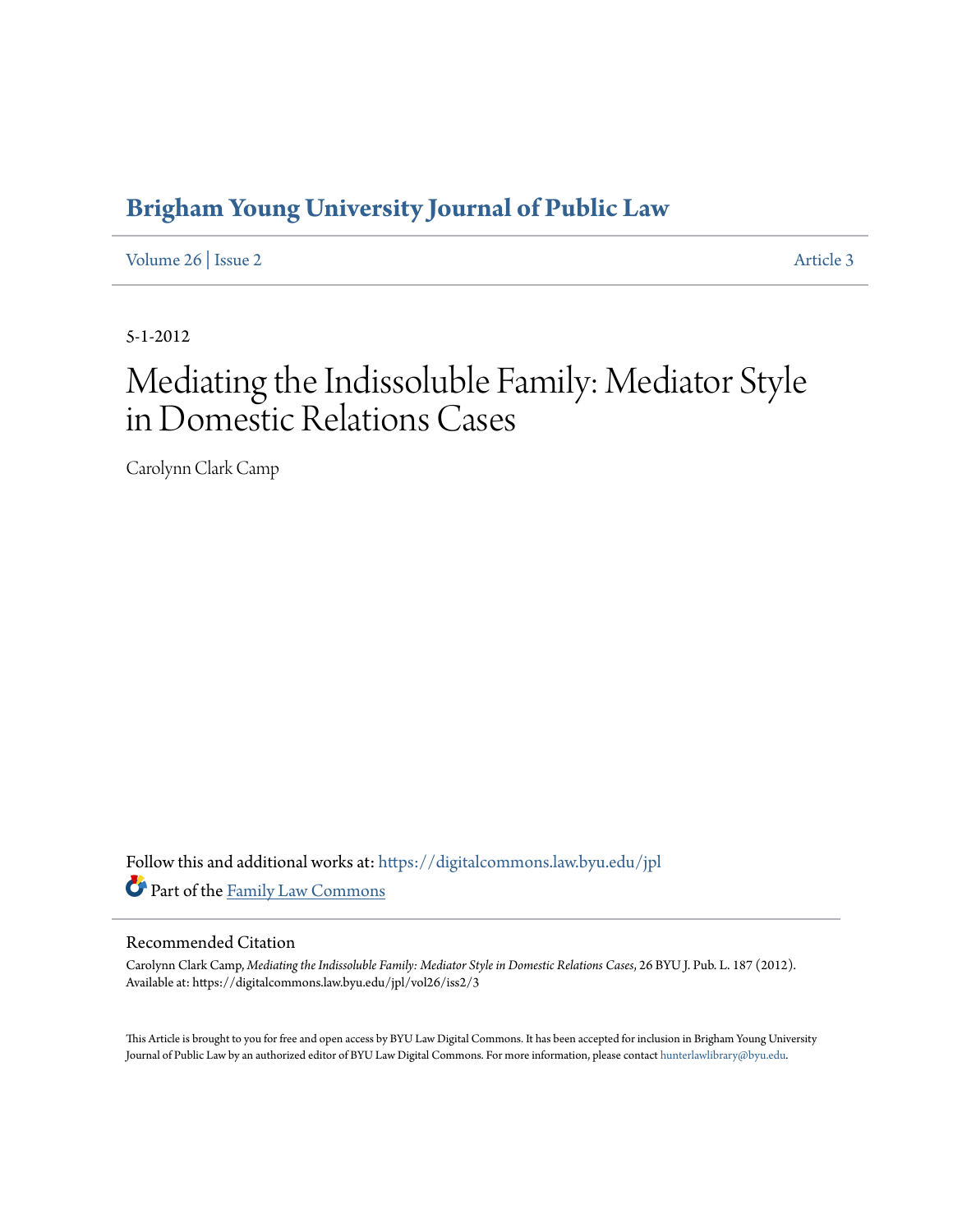## **[Brigham Young University Journal of Public Law](https://digitalcommons.law.byu.edu/jpl?utm_source=digitalcommons.law.byu.edu%2Fjpl%2Fvol26%2Fiss2%2F3&utm_medium=PDF&utm_campaign=PDFCoverPages)**

[Volume 26](https://digitalcommons.law.byu.edu/jpl/vol26?utm_source=digitalcommons.law.byu.edu%2Fjpl%2Fvol26%2Fiss2%2F3&utm_medium=PDF&utm_campaign=PDFCoverPages) | [Issue 2](https://digitalcommons.law.byu.edu/jpl/vol26/iss2?utm_source=digitalcommons.law.byu.edu%2Fjpl%2Fvol26%2Fiss2%2F3&utm_medium=PDF&utm_campaign=PDFCoverPages) [Article 3](https://digitalcommons.law.byu.edu/jpl/vol26/iss2/3?utm_source=digitalcommons.law.byu.edu%2Fjpl%2Fvol26%2Fiss2%2F3&utm_medium=PDF&utm_campaign=PDFCoverPages)

5-1-2012

# Mediating the Indissoluble Family: Mediator Style in Domestic Relations Cases

Carolynn Clark Camp

Follow this and additional works at: [https://digitalcommons.law.byu.edu/jpl](https://digitalcommons.law.byu.edu/jpl?utm_source=digitalcommons.law.byu.edu%2Fjpl%2Fvol26%2Fiss2%2F3&utm_medium=PDF&utm_campaign=PDFCoverPages) Part of the [Family Law Commons](http://network.bepress.com/hgg/discipline/602?utm_source=digitalcommons.law.byu.edu%2Fjpl%2Fvol26%2Fiss2%2F3&utm_medium=PDF&utm_campaign=PDFCoverPages)

#### Recommended Citation

Carolynn Clark Camp, *Mediating the Indissoluble Family: Mediator Style in Domestic Relations Cases*, 26 BYU J. Pub. L. 187 (2012). Available at: https://digitalcommons.law.byu.edu/jpl/vol26/iss2/3

This Article is brought to you for free and open access by BYU Law Digital Commons. It has been accepted for inclusion in Brigham Young University Journal of Public Law by an authorized editor of BYU Law Digital Commons. For more information, please contact [hunterlawlibrary@byu.edu](mailto:hunterlawlibrary@byu.edu).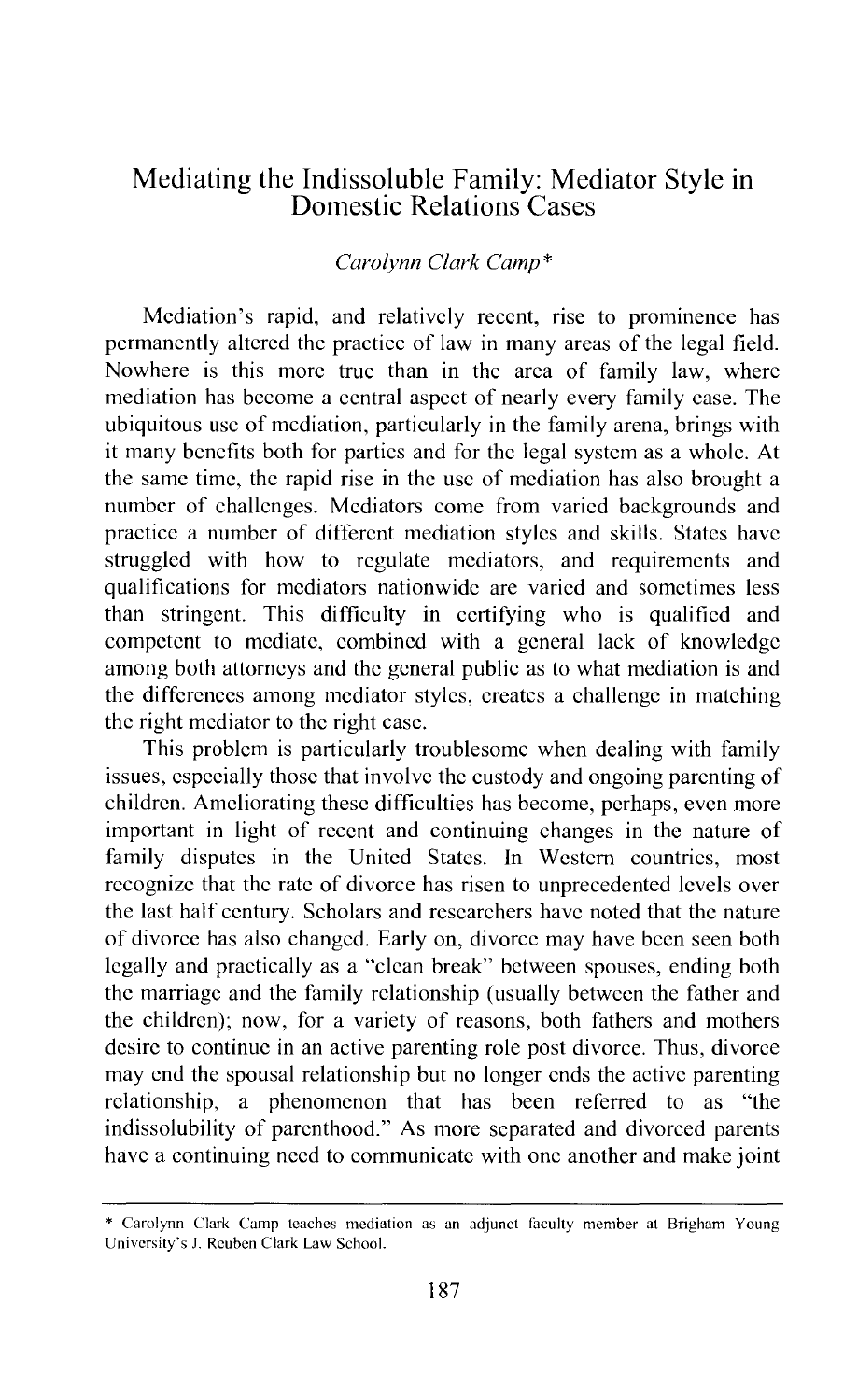### Mediating the Indissoluble Family: Mediator Style in Domestic Relations Cases

#### *Carolynn Clark Camp\**

Mediation's rapid, and relatively recent, rise to prominence has permanently altered the practice of law in many areas of the legal field. Nowhere is this more true than in the area of family law, where mediation has become a central aspect of nearly every family case. The ubiquitous usc of mediation, particularly in the family arena, brings with it many benefits both for parties and for the legal system as a whole. At the same time, the rapid rise in the usc of mediation has also brought a number of challenges. Mediators come from varied backgrounds and practice a number of different mediation styles and skills. States have struggled with how to regulate mediators, and requirements and qualifications for mediators nationwide are varied and sometimes less than stringent. This difficulty in certifying who is qualified and competent to mediate, combined with a general lack of knowledge among both attorneys and the general public as to what mediation is and the differences among mediator styles, creates a challenge in matching the right mediator to the right case.

This problem is particularly troublesome when dealing with family issues, especially those that involve the custody and ongoing parenting of children. Ameliorating these difficulties has become, perhaps, even more important in light of recent and continuing changes in the nature of family disputes in the United States. In Western countries, most recognize that the rate of divorce has risen to unprecedented levels over the last half century. Scholars and researchers have noted that the nature of divorce has also changed. Early on, divorce may have been seen both legally and practically as a "clean break" between spouses, ending both the marriage and the family relationship (usually between the father and the children); now, for a variety of reasons, both fathers and mothers desire to continue in an active parenting role post divorce. Thus, divorce may end the spousal relationship but no longer ends the active parenting relationship, a phenomenon that has been referred to as "the indissolubility of parenthood." As more separated and divorced parents have a continuing need to communicate with one another and make joint

<sup>\*</sup> Carolynn Clark Camp teaches mediation as an adjunct faculty member at Brigham Young University's J. Reuben Clark Law School.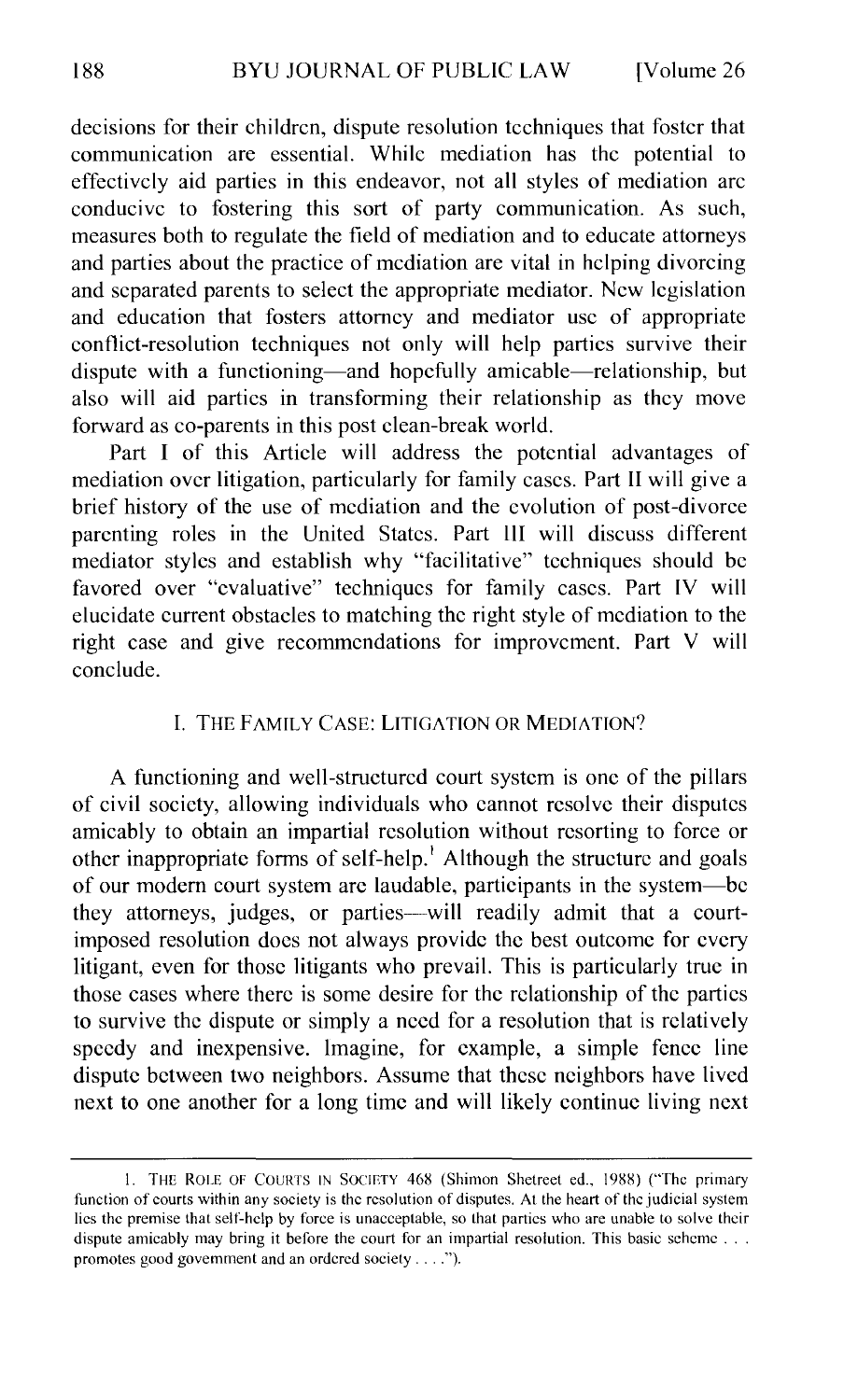decisions for their children, dispute resolution techniques that foster that communication are essential. While mediation has the potential to effectively aid parties in this endeavor, not all styles of mediation arc conducive to fostering this sort of party communication. As such, measures both to regulate the field of mediation and to educate attorneys and parties about the practice of mediation are vital in helping divorcing and separated parents to select the appropriate mediator. New legislation and education that fosters attorney and mediator usc of appropriate conflict-resolution techniques not only will help parties survive their dispute with a functioning—and hopefully amicable—relationship, but also will aid parties in transforming their relationship as they move forward as co-parents in this post clean-break world.

Part I of this Article will address the potential advantages of mediation over litigation, particularly for family cases. Part II will give a brief history of the use of mediation and the evolution of post-divorce parenting roles in the United States. Part lil will discuss different mediator styles and establish why "facilitative" techniques should be favored over "evaluative" techniques for family cases. Part IV will elucidate current obstacles to matching the right style of mediation to the right case and give recommendations for improvement. Part V will conclude.

#### I. THE FAMILY CASE: LITIGATION OR MEDIATION?

A functioning and well-structured court system is one of the pillars of civil society, allowing individuals who cannot resolve their disputes amicably to obtain an impartial resolution without resorting to force or other inappropriate forms of self-help.<sup>1</sup> Although the structure and goals of our modem court system arc laudable, participants in the system-be they attorneys, judges, or parties-will readily admit that a courtimposed resolution docs not always provide the best outcome for every litigant, even for those litigants who prevail. This is particularly true in those cases where there is some desire for the relationship of the parties to survive the dispute or simply a need for a resolution that is relatively speedy and inexpensive. Imagine, for example, a simple fence line dispute between two neighbors. Assume that these neighbors have lived next to one another for a long time and will likely continue living next

<sup>1.</sup> THE ROLE OF COURTS IN SOCIETY 468 (Shimon Shetreet ed., 1988) ("The primary function of courts within any society is the resolution of disputes. At the heart of the judicial system lies the premise that self-hclp by force is unacceptable, so that parties who are unable to solve their dispute amicably may bring it before the court for an impartial resolution. This basic scheme ... promotes good government and an ordered society . . . .").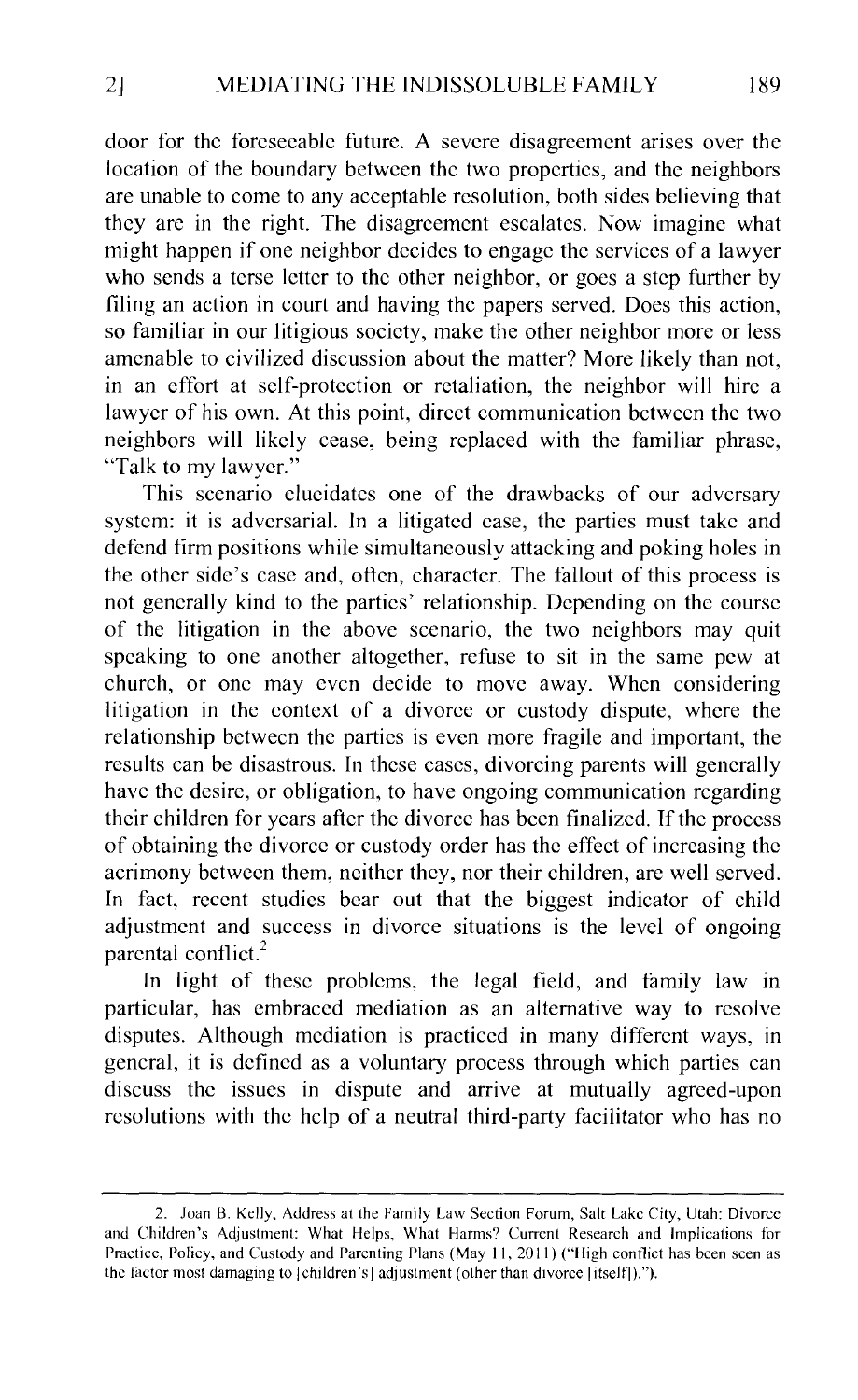door for the foreseeable future. A severe disagreement arises over the location of the boundary between the two properties, and the neighbors are unable to come to any acceptable resolution, both sides believing that they are in the right. The disagreement escalates. Now imagine what might happen if one neighbor decides to engage the services of a lawyer who sends a terse letter to the other neighbor, or goes a step further by filing an action in court and having the papers served. Does this action, so familiar in our litigious society, make the other neighbor more or less amenable to civilized discussion about the matter? More likely than not, in an effort at self-protection or retaliation, the neighbor will hire a lawyer of his own. At this point, direct communication between the two neighbors will likely cease, being replaced with the familiar phrase, "Talk to my lawyer."

This scenario elucidates one of the drawbacks of our adversary system: it is adversarial. In a litigated case, the parties must take and defend firm positions while simultaneously attacking and poking holes in the other side's case and, often, character. The fallout of this process is not generally kind to the parties' relationship. Depending on the course of the litigation in the above scenario, the two neighbors may quit speaking to one another altogether, refuse to sit in the same pew at church, or one may even decide to move away. When considering litigation in the context of a divorce or custody dispute, where the relationship between the parties is even more fragile and important, the results can be disastrous. In these cases, divorcing parents will generally have the desire, or obligation, to have ongoing communication regarding their children for years after the divorce has been finalized. If the process of obtaining the divorce or custody order has the effect of increasing the acrimony between them, neither they, nor their children, arc well served. In fact, recent studies bear out that the biggest indicator of child adjustment and success in divorce situations is the level of ongoing parental conflict.<sup>2</sup>

In light of these problems, the legal field, and family law in particular, has embraced mediation as an alternative way to resolve disputes. Although mediation is practiced in many different ways, in general, it is defined as a voluntary process through which parties can discuss the issues in dispute and arrive at mutually agreed-upon resolutions with the help of a neutral third-party facilitator who has no

<sup>2.</sup> Joan B. Kelly, Address at the Family Law Section Forum, Salt Lake City, Utah: Divorce and Children's Adjustment: What Helps, What Harms? Current Research and Implications for Practice, Policy, and Custody and Parenting Plans (May 11, 2011) ("High conflict has been seen as the factor most damaging to [children's] adjustment (other than divorce [itselfl).").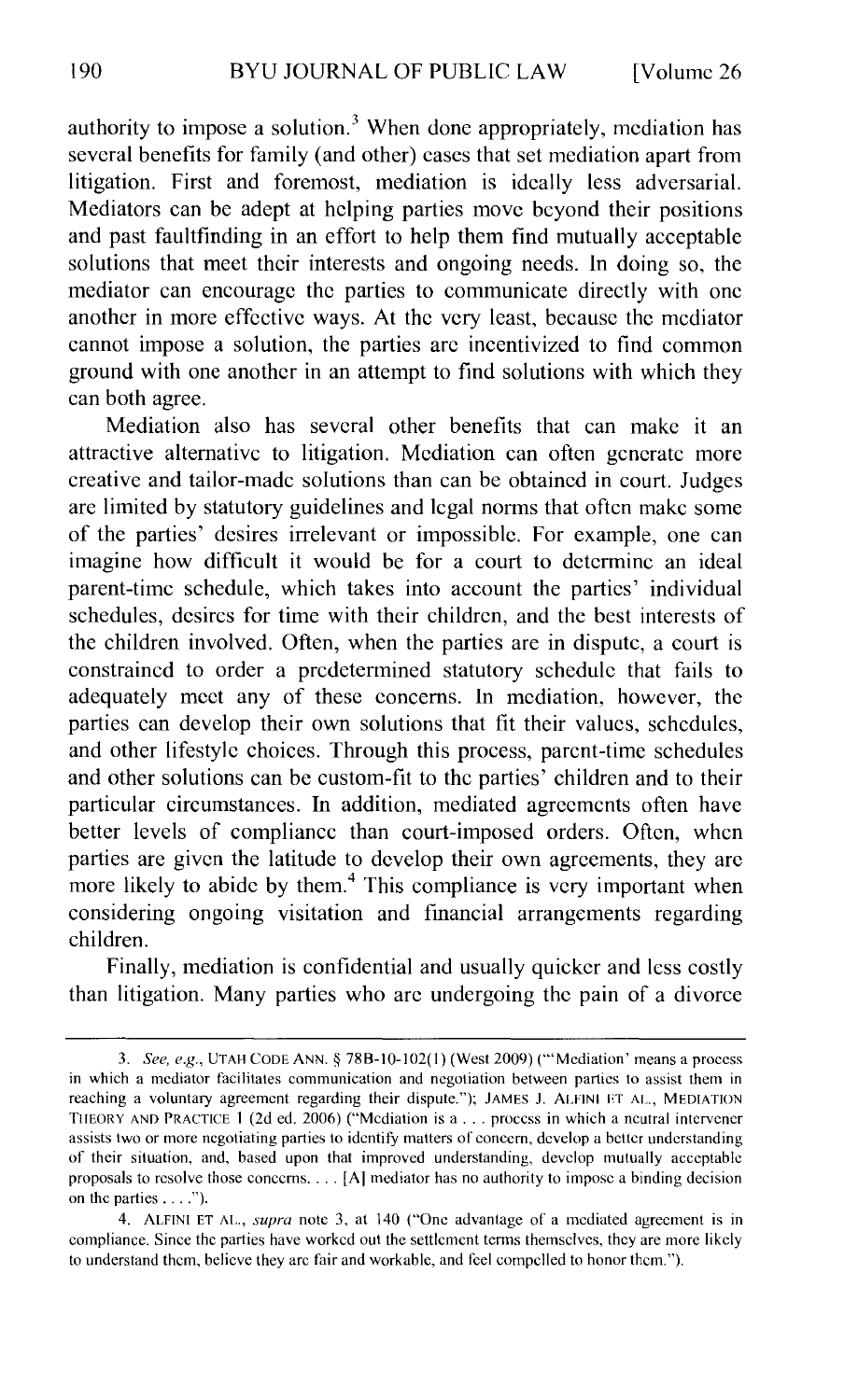authority to impose a solution.<sup>3</sup> When done appropriately, mediation has several benefits for family (and other) cases that set mediation apart from litigation. First and foremost, mediation is ideally less adversarial. Mediators can be adept at helping parties move beyond their positions and past faultfinding in an effort to help them find mutually acceptable solutions that meet their interests and ongoing needs. In doing so, the mediator can encourage the parties to communicate directly with one another in more effective ways. At the very least, because the mediator cannot impose a solution, the parties arc incentivized to find common ground with one another in an attempt to find solutions with which they can both agree.

Mediation also has several other benefits that can make it an attractive alternative to litigation. Mediation can often generate more creative and tailor-made solutions than can be obtained in court. Judges arc limited by statutory guidelines and legal norms that often make some of the parties' desires irrelevant or impossible. For example, one can imagine how difficult it would be for a court to determine an ideal parent-time schedule, which takes into account the parties' individual schedules, desires for time with their children, and the best interests of the children involved. Often, when the parties are in dispute, a court is constrained to order a predetermined statutory schedule that fails to adequately meet any of these concerns. In mediation, however, the parties can develop their own solutions that fit their values, schedules, and other lifestyle choices. Through this process, parent-time schedules and other solutions can be custom-fit to the parties' children and to their particular circumstances. In addition, mediated agreements often have better levels of compliance than court-imposed orders. Often, when parties are given the latitude to develop their own agreements, they arc more likely to abide by them.<sup>4</sup> This compliance is very important when considering ongoing visitation and financial arrangements regarding children.

Finally, mediation is confidential and usually quicker and less costly than litigation. Many parties who arc undergoing the pain of a divorce

<sup>3.</sup> *See, e.g.,* UTAH CODE ANN.§ 788-10-102(1) (West 2009) ("'Mediation' means a process in which a mediator facilitates communication and negotiation between parties to assist them in reaching a voluntary agreement regarding their dispute."); JAMES J. ALFINI ET AL., MEDIATION THEORY AND PRACTICE <sup>I</sup>(2d ed. 2006) ("Mediation is a ... process in which a neutral intervener assists two or more negotiating parties to identify matters of concern, develop a better understanding of their situation, and, based upon that improved understanding, develop mutually acceptable proposals to resolve those concerns .... [A] mediator has no authority to impose a binding decision on the parties .... ").

<sup>4.</sup> ALFINI ET AL., *supra* note 3, at 140 ("One advantage of a mediated agreement is in compliance. Since the parties have worked out the settlement terms themselves, they are more likely to understand them, believe they are fair and workable, and feel compelled to honor them.").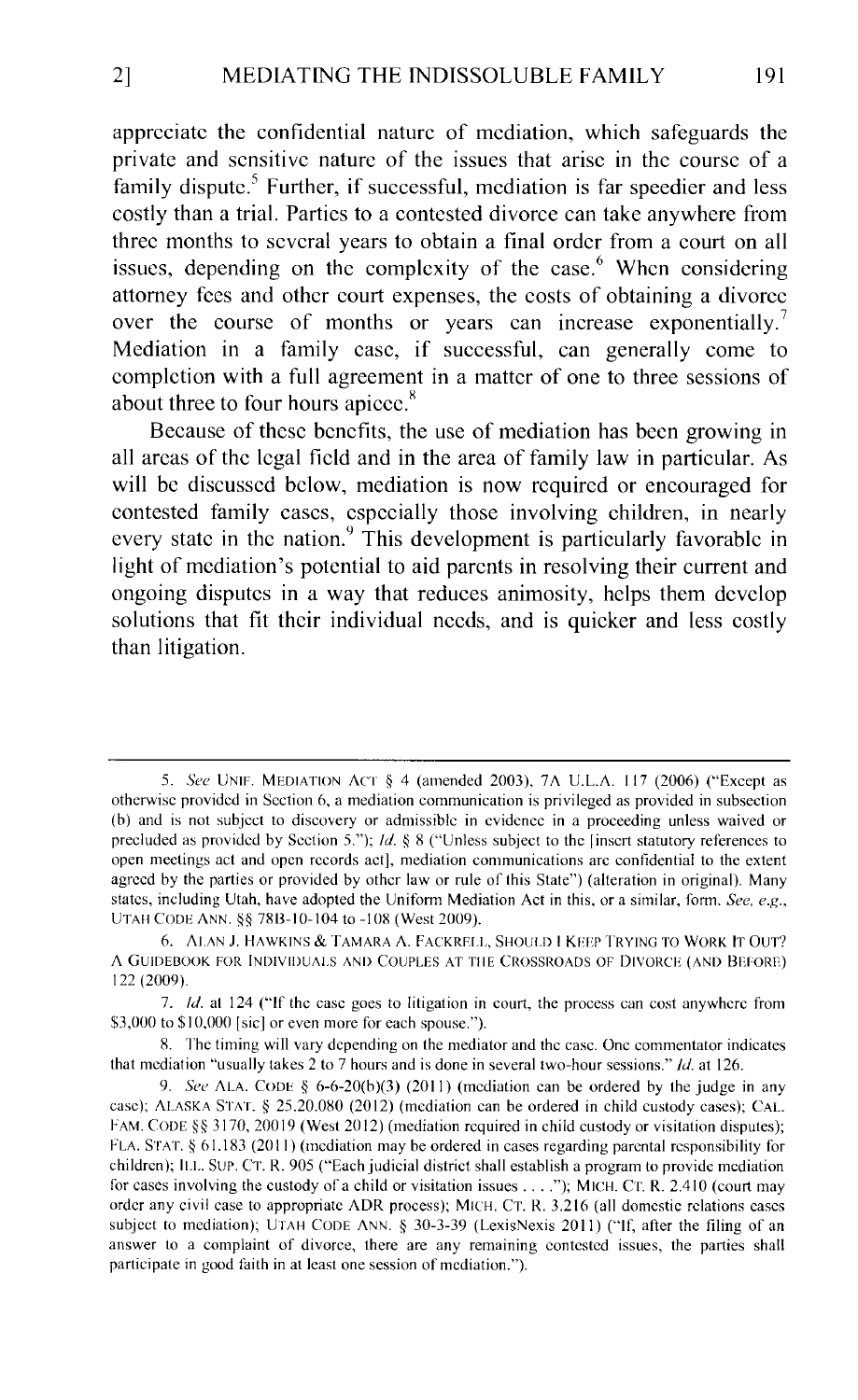appreciate the confidential nature of mediation, which safeguards the private and sensitive nature of the issues that arise in the course of a family dispute.<sup>5</sup> Further, if successful, mediation is far speedier and less costly than a trial. Parties to a contested divorce can take anywhere from three months to several years to obtain a final order from a court on all issues, depending on the complexity of the case.<sup>6</sup> When considering attorney fees and other court expenses, the costs of obtaining a divorce over the course of months or years can increase exponentially.<sup>7</sup> Mediation in a family case, if successful, can generally come to completion with a full agreement in a matter of one to three sessions of about three to four hours apiccc. <sup>8</sup>

Because of these benefits, the use of mediation has been growing in all areas of the legal field and in the area of family law in particular. As will be discussed below, mediation is now required or encouraged for contested family cases, especially those involving children, in nearly every state in the nation.<sup>9</sup> This development is particularly favorable in light of mediation's potential to aid parents in resolving their current and ongoing disputes in a way that reduces animosity, helps them develop solutions that fit their individual needs, and is quicker and less costly than litigation.

<sup>5.</sup> *See* UNIF. MEDIATION ACT § 4 (amended 2003), 7A U.L.A. 117 (2006) ("Except as otherwise provided in Section 6, a mediation communication is privileged as provided in subsection (b) and is not subject to discovery or admissible in evidence in a proceeding unless waived or precluded as provided by Section 5.");  $Id.~\&~8$  ("Unless subject to the [insert statutory references to open meetings act and open records act], mediation communications arc confidential to the extent agreed by the parties or provided by other law or rule of this State") (alteration in original). Many states, including Utah, have adopted the Uniform Mediation Act in this, or a similar, form. *Sec, e.g.,*  UTAH CODE ANN. §§ 78B-10-104 to -108 (West 2009).

<sup>6.</sup> ALAN J. HAWKINS & TAMARA A. FACKRELL, SHOULD I KEEP TRYING TO WORK IT OUT'? A GUIDEBOOK FOR INDIVIDUALS AND COUPLES AT THE CROSSROADS OF DIVORCE (AND BEFORE) 122 (2009).

<sup>7.</sup> *!d.* at 124 ("If the case goes to litigation in court, the process can cost anywhere from \$3,000 to \$10,000 [sic] or even more for each spouse.").

<sup>8.</sup> The timing will vary depending on the mediator and the case. One commentator indicates that mediation "usually takes 2 to 7 hours and is done in several two-hour sessions." *!d.* at 126.

<sup>9.</sup> *See* ALA. CODE  $\S$  6-6-20(b)(3) (2011) (mediation can be ordered by the judge in any case); ALASKA STAT. *§* 25.20.080 (2012) (mediation can be ordered in child custody cases); CAL. FAM. CODE §§ 3170, 20019 (West 2012) (mediation required in child custody or visitation disputes); FLA. STAT. § 61.183 (2011) (mediation may be ordered in cases regarding parental responsibility for children); ILL. Sur. CT. R. 905 ("Each judicial district shall establish a program to provide mediation for cases involving the custody of a child or visitation issues .... "); MICH. Cr. R. 2.410 (court may order any civil case to appropriate ADR process); MICH. CT. R. 3.216 (all domestic relations cases subject to mediation); UTAH CODE ANN. § 30-3-39 (LexisNexis 2011) ("'f, after the filing of an answer to a complaint of divorce, there are any remaining contested issues, the parties shall participate in good faith in at least one session of mediation.").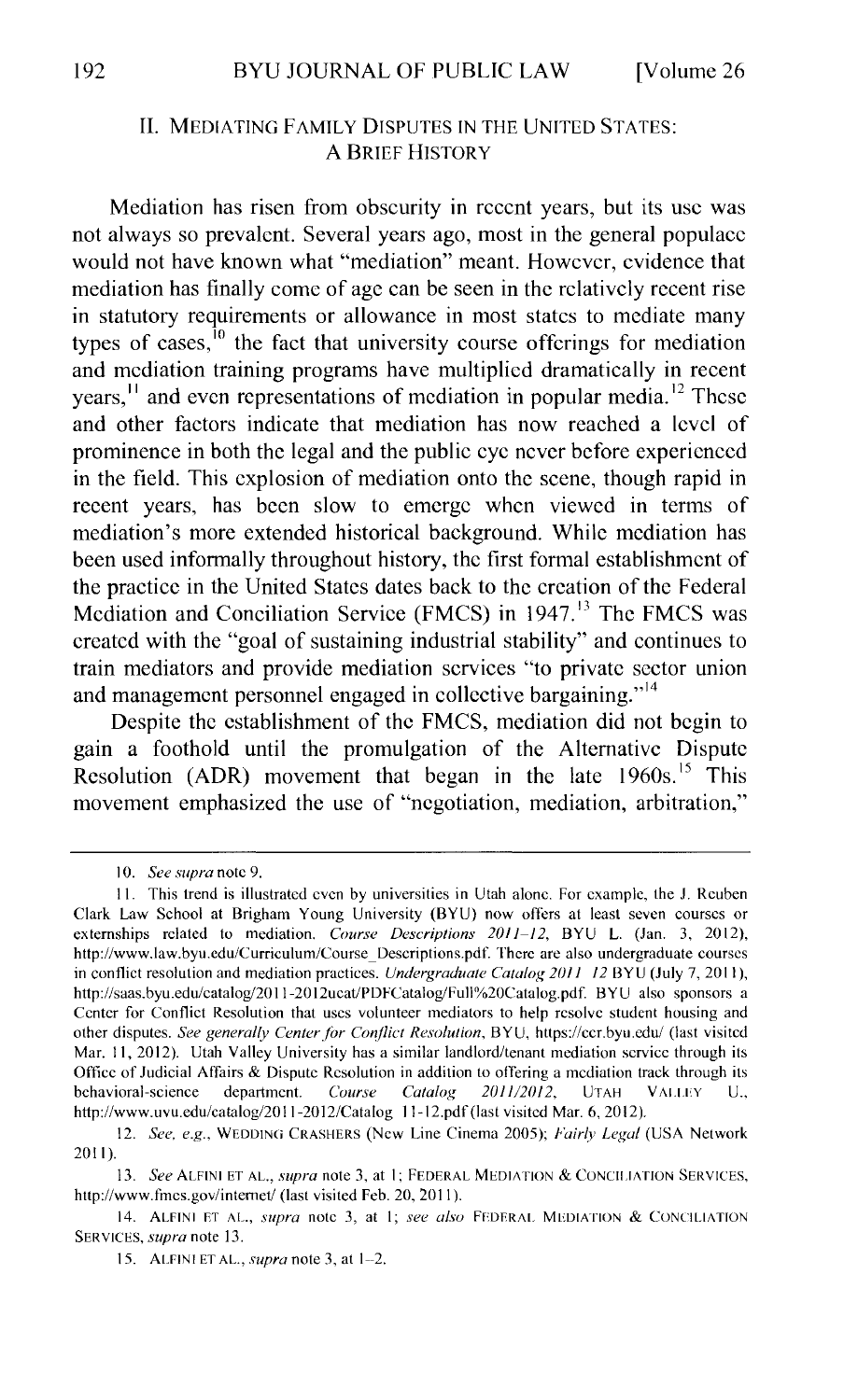#### II. MEDIATING FAMILY DISPUTES IN THE UNITED STATES: A BRIEF HISTORY

Mediation has risen from obscurity in recent years, but its usc was not always so prevalent. Several years ago, most in the general populace would not have known what "mediation" meant. However, evidence that mediation has finally come of age can be seen in the relatively recent rise in statutory requirements or allowance in most states to mediate many types of cases, $\frac{10}{10}$  the fact that university course offerings for mediation and mediation training programs have multiplied dramatically in recent years, <sup>11</sup> and even representations of mediation in popular media.<sup>12</sup> These and other factors indicate that mediation has now reached a level of prominence in both the legal and the public eye never before experienced in the field. This explosion of mediation onto the scene, though rapid in recent years, has been slow to emerge when viewed in terms of mediation's more extended historical background. While mediation has been used informally throughout history, the first formal establishment of the practice in the United States dates back to the creation of the Federal Mediation and Conciliation Service (FMCS) in 1947.<sup>13</sup> The FMCS was created with the "goal of sustaining industrial stability" and continues to train mediators and provide mediation services "to private sector union and management personnel engaged in collective bargaining."<sup>14</sup>

Despite the establishment of the FMCS, mediation did not begin to gain a foothold until the promulgation of the Alternative Dispute Resolution (ADR) movement that began in the late  $1960s$ .<sup>15</sup> This movement emphasized the use of "negotiation, mediation, arbitration,"

<sup>10.</sup> *See supra* note 9.

<sup>11.</sup> This trend is illustrated even by universities in Utah alone. For example, the J. Reuben Clark Law School at Brigham Young University (BYU) now offers at least seven courses or extemships related to mediation. *Course Descriptions 2011-12,* BYU L. (Jan. 3, 2012), http://www.law.byu.edu/Curriculum/Course\_ Descriptions.pdf. There arc also undergraduate courses in conflict resolution and mediation practices. *Undergraduate Catalog 2011 12* BYU (July 7, 2011 ), http://saas.byu.edu/catalog/2011-2012ucat/PDFCatalog/Full%20Catalog.pdf. BYU also sponsors a Center for Conflict Resolution that uses volunteer mediators to help resolve student housing and other disputes. *See generally Centerfor Conflict Resolution,* BYU, https://ecr.byu.edu/ (last visited Mar. 11, 2012). Utah Valley University has a similar landlord/tenant mediation service through its Office of Judicial Affairs & Dispute Resolution in addition to offering a mediation track through its behavioral-science department. *Course Catalog 2011/2012*, UTAH VALLEY U., http://www.uvu.edu/catalog/2011-2012/Catalog ll-12.pdf (last visited Mar. 6, 20 12).

<sup>12.</sup> *See, e.g.,* WEDDINCi CRASHERS (New Line Cinema 2005); *Fairly Legal* (USA Network 2011).

<sup>13.</sup> *See* ALFINI ET AL., *supra* note 3, at I; FEDERAL MEDIATION & CONCILIATION SERVICES, http://www.fmes.gov/internet/ (last visited Feb. 20, 2011).

<sup>14.</sup> ALFINI ET AL., *supra* note 3, at I; *see also* FFDERAL MEDIATION & CONCILIATION SERVICES, *supra* note 13.

<sup>15.</sup> ALFINI ET AL., *supra* note 3, at 1-2.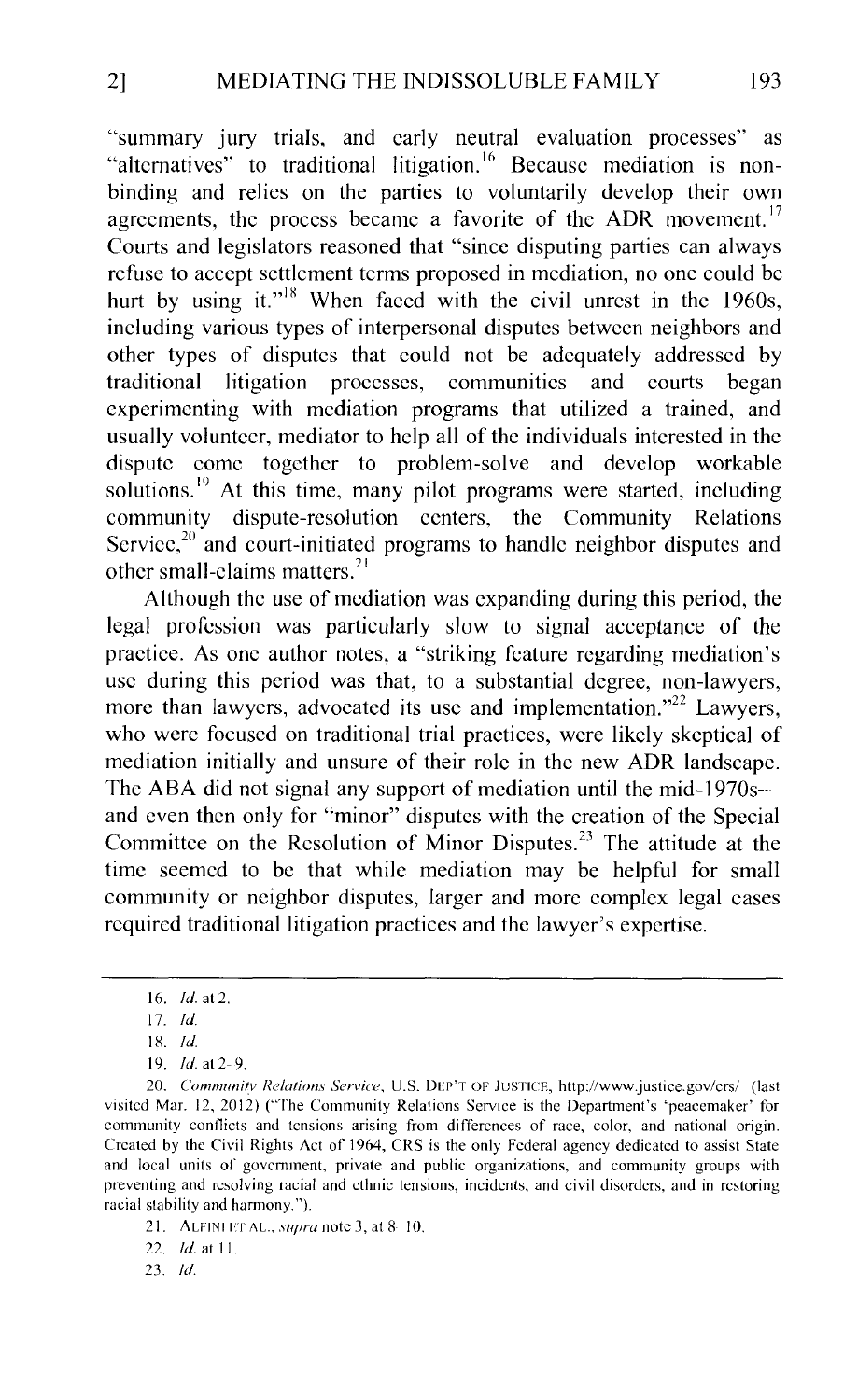"summary jury trials, and early neutral evaluation processes" as "alternatives" to traditional litigation.<sup>16</sup> Because mediation is nonbinding and relies on the parties to voluntarily develop their own agreements, the process became a favorite of the ADR movement.<sup>17</sup> Courts and legislators reasoned that "since disputing parties can always refuse to accept settlement terms proposed in mediation, no one could be hurt by using it."<sup>18</sup> When faced with the civil unrest in the 1960s, including various types of interpersonal disputes between neighbors and other types of disputes that could not be adequately addressed by traditional litigation processes, communities and courts began experimenting with mediation programs that utilized a trained, and usually volunteer, mediator to help all of the individuals interested in the dispute come together to problem-solve and develop workable solutions.<sup>19</sup> At this time, many pilot programs were started, including community dispute-resolution centers, the Community Relations Service, $20$  and court-initiated programs to handle neighbor disputes and other small-claims matters. <sup>21</sup>

Although the use of mediation was expanding during this period, the legal profession was particularly slow to signal acceptance of the practice. As one author notes, a "striking feature regarding mediation's usc during this period was that, to a substantial degree, non-lawyers, more than lawyers, advocated its use and implementation."<sup>22</sup> Lawyers, who were focused on traditional trial practices, were likely skeptical of mediation initially and unsure of their role in the new ADR landscape. The ABA did not signal any support of mediation until the mid-1970s and even then only for "minor" disputes with the creation of the Special Committee on the Resolution of Minor Disputes.<sup>23</sup> The attitude at the time seemed to be that while mediation may be helpful for small community or neighbor disputes, larger and more complex legal cases required traditional litigation practices and the lawyer's expertise.

23. *!d.* 

<sup>16.</sup> *!d.* at 2.

<sup>17.</sup> *!d.* 

IX. !d.

<sup>19.</sup> *!d.* at 2- 9.

<sup>20.</sup> *Communitv Relations Savice.* U.S. DEP'T OF JUSTICE, http://www.justice.gov/crs/ (last visited Mar. 12, 2012) ('The Community Relations Service is the Department's 'peacemaker' for community contlicts and tensions arising from differences of race, color, and national origin. Created by the Civil Rights Act of 1964, CRS is the only Federal agency dedicated to assist State and local units of government, private and public organizations, and community groups with preventing and resolving racial and ethnic tensions, incidents, and civil disorders, and in restoring racial stability and harmony.").

<sup>21.</sup> ALFINI ET AL., *supra* note 3, at 8 10.

<sup>22.</sup> *Id.* at 11.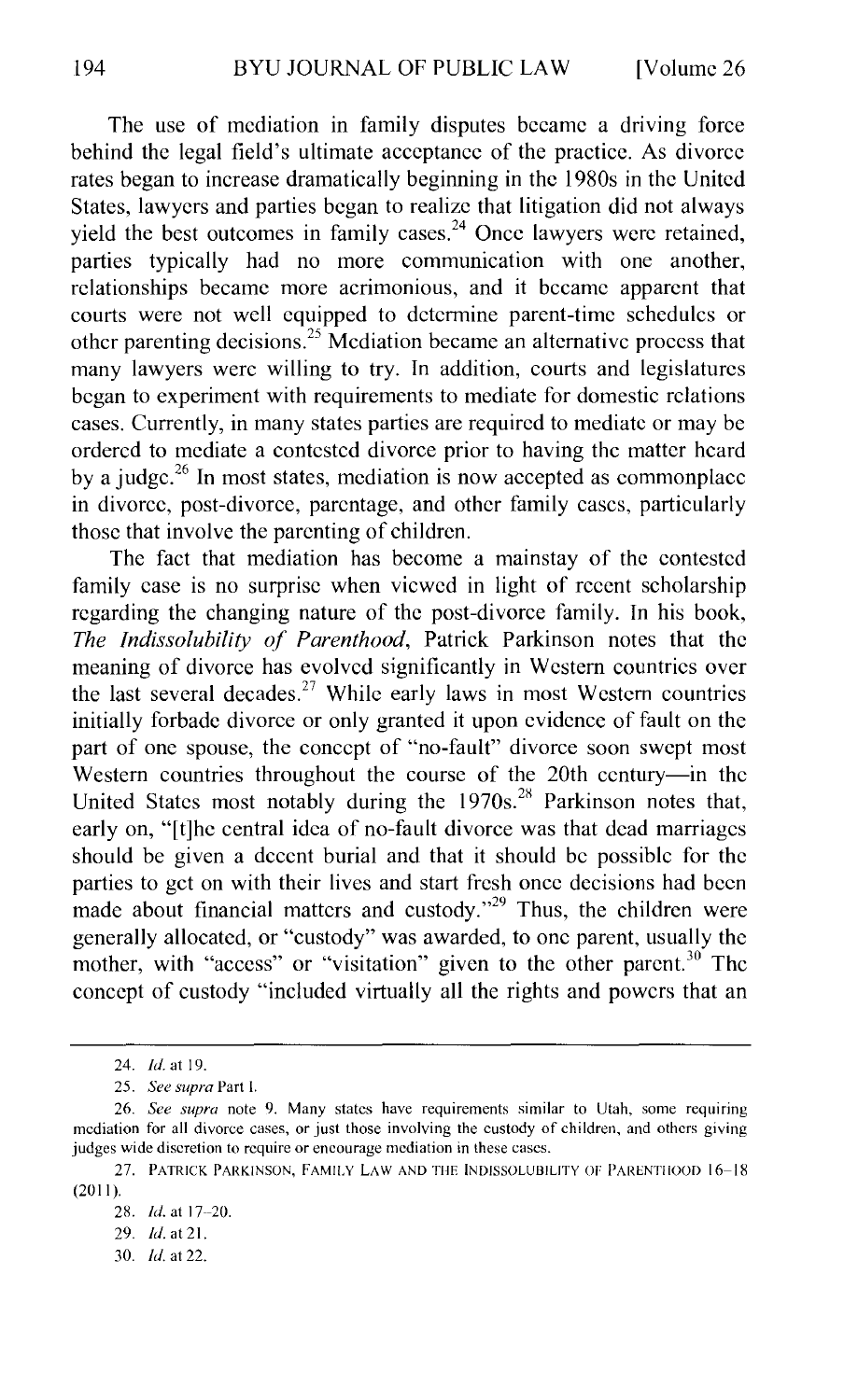The use of mediation in family disputes became a driving force behind the legal field's ultimate acceptance of the practice. As divorce rates began to increase dramatically beginning in the 1980s in the United States, lawyers and parties began to realize that litigation did not always yield the best outcomes in family cases.<sup>24</sup> Once lawyers were retained, parties typically had no more communication with one another, relationships became more acrimonious, and it became apparent that courts were not well equipped to determine parent-time schedules or other parenting decisions.<sup>25</sup> Mediation became an alternative process that many lawyers were willing to try. In addition, courts and legislatures began to experiment with requirements to mediate for domestic relations cases. Currently, in many states parties are required to mediate or may be ordered to mediate a contested divorce prior to having the matter heard by a judge.<sup>26</sup> In most states, mediation is now accepted as commonplace in divorce, post-divorce, parentage, and other family cases, particularly those that involve the parenting of children.

The fact that mediation has become a mainstay of the contested family case is no surprise when viewed in light of recent scholarship regarding the changing nature of the post-divorce family. In his book, *The Indissolubility of Parenthood,* Patrick Parkinson notes that the meaning of divorce has evolved significantly in Western countries over the last several decades.<sup>27</sup> While early laws in most Western countries initially forbade divorce or only granted it upon evidence of fault on the part of one spouse, the concept of "no-fault" divorce soon swept most Western countries throughout the course of the 20th century-in the United States most notably during the  $1970s$ .<sup>28</sup> Parkinson notes that, early on, "[t]he central idea of no-fault divorce was that dead marriages should be given a decent burial and that it should be possible for the parties to get on with their lives and start fresh once decisions had been made about financial matters and custody."<sup>29</sup> Thus, the children were generally allocated, or "custody" was awarded, to one parent, usually the mother, with "access" or "visitation" given to the other parent.<sup>30</sup> The concept of custody "included virtually all the rights and powers that an

30. */d.* at 22.

<sup>24.</sup> *!d.* at 19.

<sup>25.</sup> *See supra* Part I.

<sup>26.</sup> *See supra* note 9. Many states have requirements similar to Utah, some requiring mediation for all divorce cases, or just those involving the custody of children, and others giving judges wide discretion to require or encourage mediation in these cases.

<sup>27.</sup> PATRICK PARKINSON, FAMILY LAW AND THE INDISSOLUBILITY OF PARENTIIOOD 16-18  $(2011).$ 

<sup>28.</sup> *Id.* at 17-20.

<sup>29.</sup> *Id.* at 21.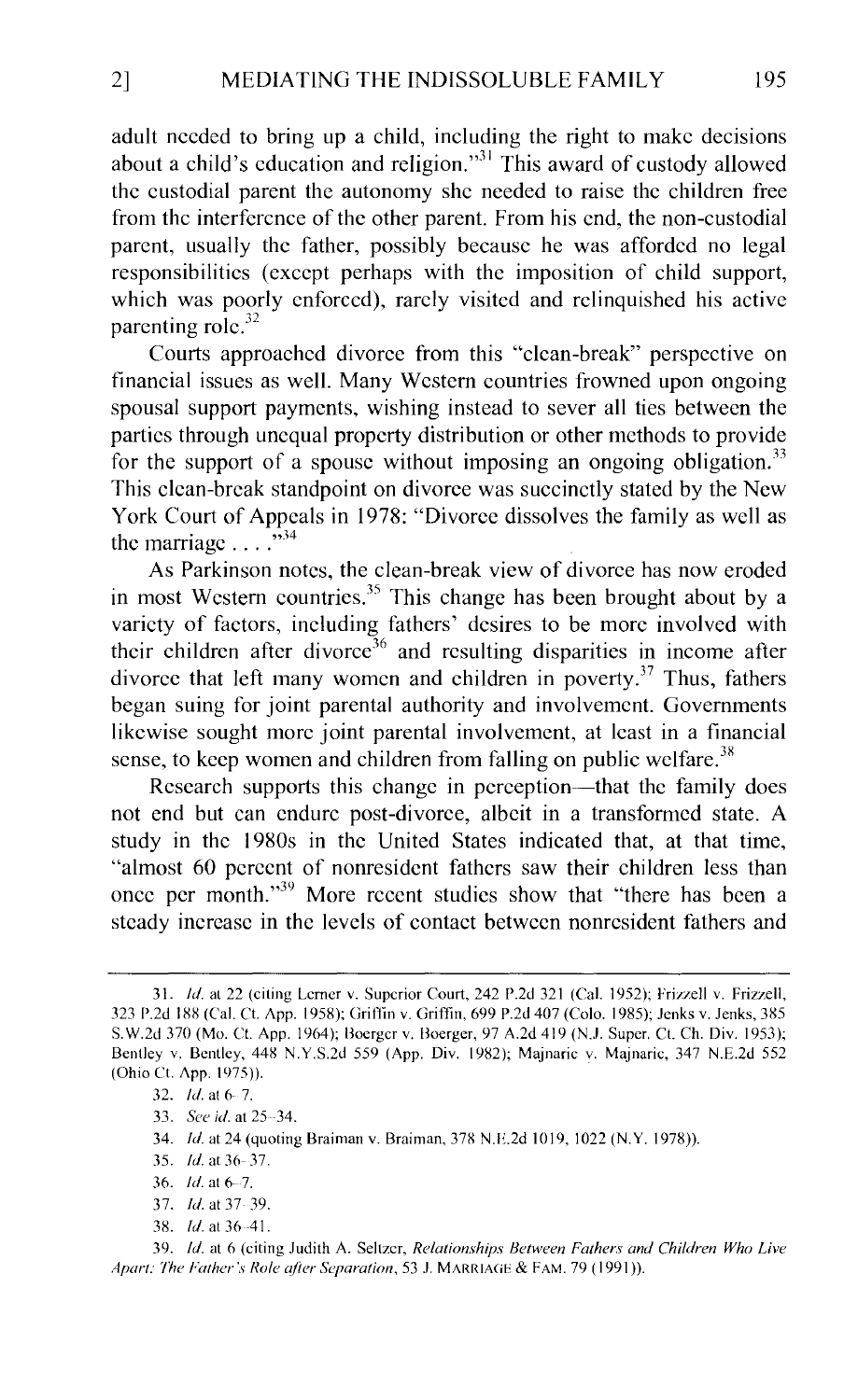adult needed to bring up a child, including the right to make decisions about a child's education and religion."<sup>31</sup> This award of custody allowed the custodial parent the autonomy she needed to raise the children free from the interference of the other parent. From his end, the non-custodial parent, usually the father, possibly because he was afforded no legal responsibilities (except perhaps with the imposition of child support, which was poorly enforced), rarely visited and relinquished his active parenting role.<sup>32</sup>

Courts approached divorce from this "clean-break" perspective on financial issues as well. Many Western countries frowned upon ongoing spousal support payments, wishing instead to sever all ties between the parties through unequal property distribution or other methods to provide for the support of a spouse without imposing an ongoing obligation.<sup>33</sup> This clean-break standpoint on divorce was succinctly stated by the New York Court of Appeals in 1978: "Divorce dissolves the family as well as the marriage  $\ldots$   $\ldots$ 

As Parkinson notes, the clean-break view of divorce has now eroded in most Western countries.<sup>35</sup> This change has been brought about by a variety of factors, including fathers' desires to be more involved with their children after divorce<sup>36</sup> and resulting disparities in income after divorce that left many women and children in poverty.<sup>37</sup> Thus, fathers began suing for joint parental authority and involvement. Governments likewise sought more joint parental involvement, at least in a financial sense, to keep women and children from falling on public welfare.<sup>38</sup>

Research supports this change in perception—that the family does not end but can endure post-divorce, albeit in a transformed state. A study in the 1980s in the United States indicated that, at that time, "almost 60 percent of nonresident fathers saw their children less than once per month."39 More recent studies show that "there has been a steady increase in the levels of contact between nonresident fathers and

- 37. *Id.* at 37-39.
- 38. *Id.* at 36-41.

39. */d.* at 6 (citing Judith A. Seltzer, *Relationships Between Fathers and Children Who Live Apart: The Father's Role ajier Separation,* 53 J. MARRIAGE & FAM. 79 ( 1991 )).

<sup>31.</sup> Id. at 22 (citing Lerner v. Superior Court, 242 P.2d 321 (Cal. 1952); Frizzell v. Frizzell, 323 P.2d 188 (Cal. Ct. App. 1958); Griffin v. Griffin, 699 P.2d 407 (Colo. 1985); Jenks v. Jenks, 385 S. W.2d 370 (Mo. Ct. App. 1964); Boerger v. Boerger, 97 A.2d 419 (N.J. Super. Ct. Ch. Div. 1953); Bentley v. Bentley, 44X N.Y.S.2d 559 (App. Div. 1982); Majnaric v. Majnaric, 347 N.E.2d 552 (Ohio Ct. App. 1975)).

<sup>32.</sup> *Id.* at 6-7.

<sup>33.</sup> *See id.* at 25-34.

<sup>34.</sup> Id. at 24 (quoting Braiman v. Braiman, 378 N.E.2d 1019, 1022 (N.Y. 1978)).

<sup>35.</sup> *Id.* at 36-37.

<sup>36.</sup> *!d.* at 6-7.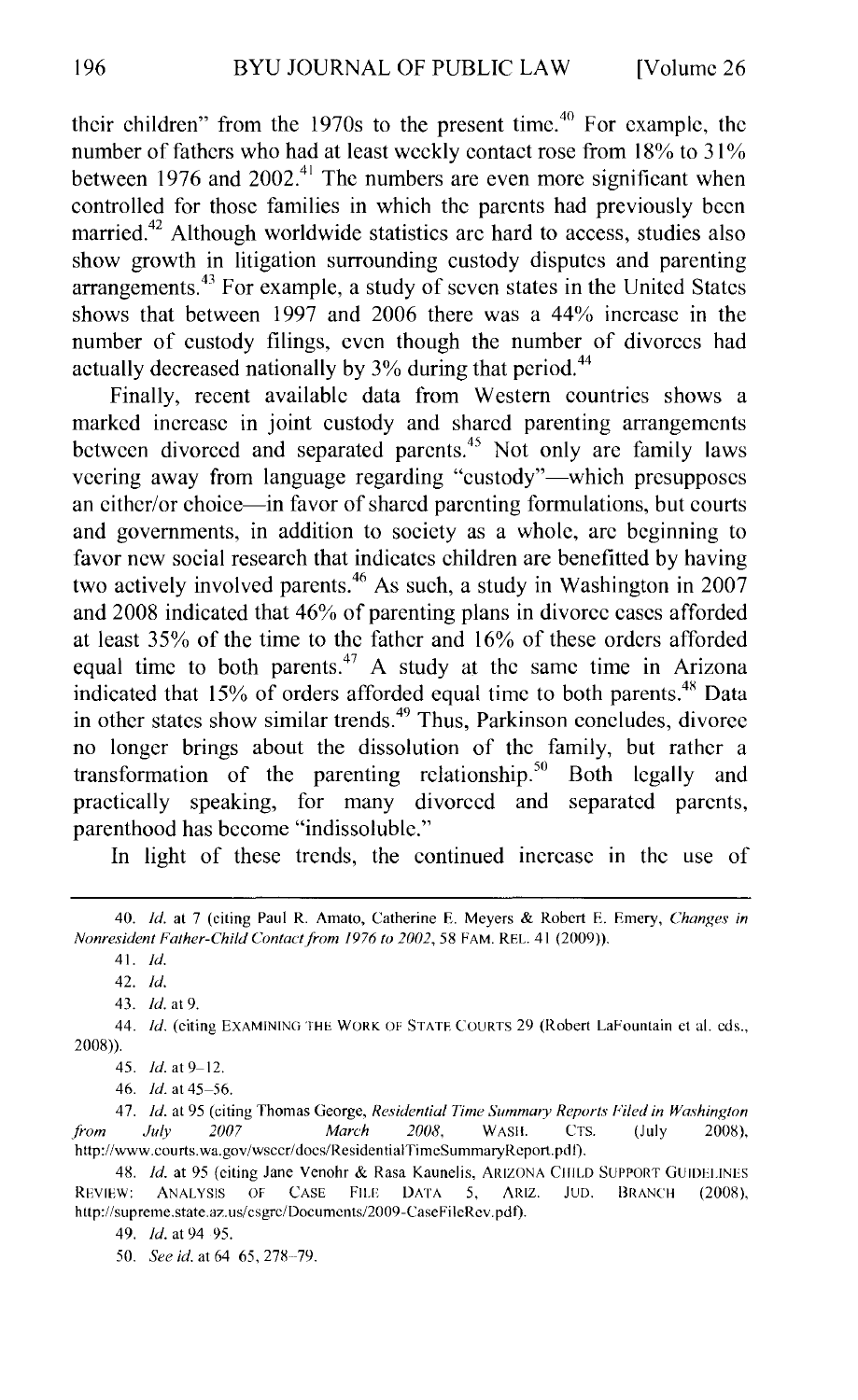their children" from the  $1970s$  to the present time.<sup>40</sup> For example, the number of fathers who had at least weekly contact rose from 18% to 31% between 1976 and  $2002<sup>41</sup>$ . The numbers are even more significant when controlled for those families in which the parents had previously been married.<sup>42</sup> Although worldwide statistics are hard to access, studies also show growth in litigation surrounding custody disputes and parenting arrangements. 43 For example, a study of seven states in the United States shows that between 1997 and 2006 there was a  $44\%$  increase in the number of custody filings, even though the number of divorces had actually decreased nationally by 3% during that period.<sup>44</sup>

Finally, recent available data from Western countries shows a marked increase in joint custody and shared parenting arrangements between divorced and separated parcnts.<sup>45</sup> Not only are family laws veering away from language regarding "custody"—which presupposes an either/or choice—in favor of shared parenting formulations, but courts and governments, in addition to society as a whole, arc beginning to favor new social research that indicates children are benefitted by having two actively involved parents.<sup>46</sup> As such, a study in Washington in 2007 and 2008 indicated that 46% of parenting plans in divorce cases afforded at least 35% of the time to the father and 16% of these orders afforded equal time to both parents.<sup>47</sup> A study at the same time in Arizona indicated that 15% of orders afforded equal time to both parents.<sup>48</sup> Data in other states show similar trends.<sup>49</sup> Thus, Parkinson concludes, divorce no longer brings about the dissolution of the family, but rather a transformation of the parenting relationship.<sup>50</sup> Both legally and practically speaking, for many divorced and separated parents, parenthood has become "indissoluble."

In light of these trends, the continued increase in the use of

<sup>40.</sup> *!d.* at 7 (citing Paul R. Amato, Catherine E. Meyers & Robert E. Emery, *Changes in Nonresident Father-Child Contactfrom 1976 to 2002,* 58 FAM. REL. 41 (2009)).

<sup>41.</sup> *!d.* 

<sup>42.</sup> *!d.* 

<sup>43.</sup> *!d.* at 9.

<sup>44.</sup> *!d.* (citing EXAMINING THE WORK OF STATE COURTS 29 (Robert LaFountain et al. cds., 2008)).

<sup>45.</sup> *!d.* at 9-12.

<sup>46.</sup> *!d.* at 45-56.

<sup>47.</sup> *!d.* at 95 (citing Thomas George, *Residential Time Summary Reports Filed in Washington ji-om July 2007 March 2008,* WASil. CTS. (July 200g), http://www.courts.wa.gov/wsccr/docs/ResidentiaiTimcSummaryRcport.pdl).

<sup>48.</sup> *Id.* at 95 (citing Jane Venohr & Rasa Kaunelis, ARIZONA CHILD SUPPORT GUIDELINES REVIEW: ANALYSIS OF CASE FILE DATA 5, ARIZ. JUD. BRANCH (2008), http://supreme.state.az.us/csgrc/Documents/2009-CaseFileRev.pdf).

<sup>49.</sup> *!d.* at 94 95.

<sup>50.</sup> *See id.* at 64 65, 278-79.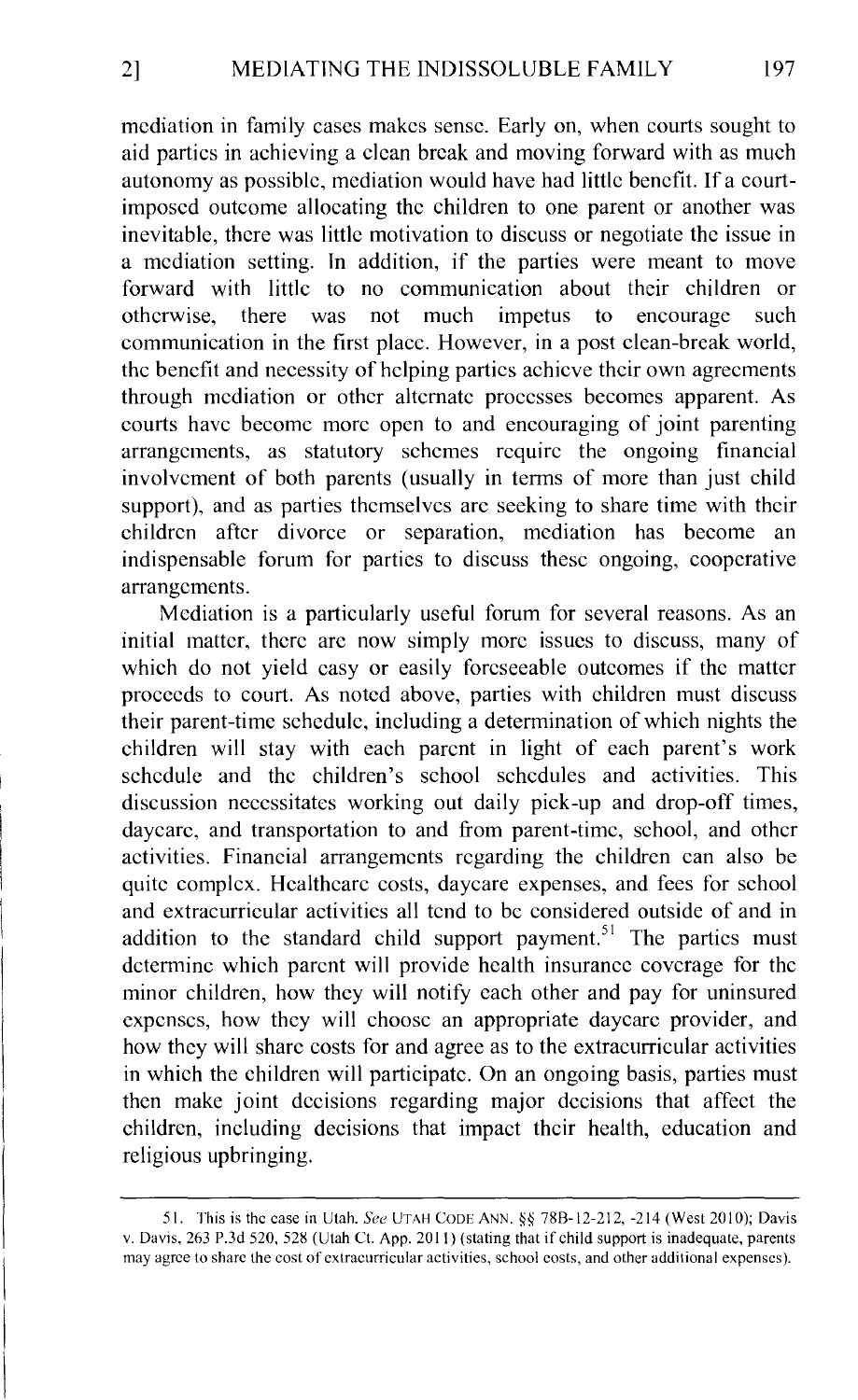mediation in family cases makes sense. Early on, when courts sought to aid parties in achieving a clean break and moving forward with as much autonomy as possible, mediation would have had little benefit. If a courtimposed outcome allocating the children to one parent or another was inevitable, there was little motivation to discuss or negotiate the issue in a mediation setting. In addition, if the parties were meant to move forward with little to no communication about their children or otherwise, there was not much impetus to encourage such communication in the first place. However, in a post clean-break world, the benefit and necessity of helping parties achieve their own agreements through mediation or other alternate processes becomes apparent. As courts have become more open to and encouraging of joint parenting arrangements, as statutory schemes require the ongoing financial involvement of both parents (usually in terms of more than just child support), and as parties themselves arc seeking to share time with their children after divorce or separation, mediation has become an indispensable forum for parties to discuss these ongoing, cooperative arrangements.

Mediation is a particularly useful forum for several reasons. As an initial matter, there arc now simply more issues to discuss, many of which do not yield casy or easily forcseeable outcomes if the matter proceeds to court. As noted above, parties with children must discuss their parent-time schedule, including a determination of which nights the children will stay with each parent in light of each parent's work schedule and the children's school schedules and activities. This discussion necessitates working out daily pick-up and drop-off times, daycarc, and transportation to and from parent-time, school, and other activities. Financial arrangements regarding the children can also be quite complex. Hcalthcarc costs, daycare expenses, and fees for school and extracurricular activities all tend to be considered outside of and in addition to the standard child support payment.<sup>51</sup> The parties must determine which parent will provide health insurance coverage for the minor children, how they will notify each other and pay for uninsured expenses, how they will choose an appropriate daycarc provider, and how they will share costs for and agree as to the extracurricular activities in which the children will participate. On an ongoing basis, parties must then make joint decisions regarding major decisions that affect the children, including decisions that impact their health, education and religious upbringing.

<sup>51.</sup> This is the case in Utah. See UTAH CODE ANN. § 78B-12-212, -214 (West 2010); Davis v. Davis. 263 P.3d 520, 52X (Utah Ct. App. 2011) (stating that if child support is inadequate, parents may agree to share the cost of extracurricular activities, school costs, and other additional expenses).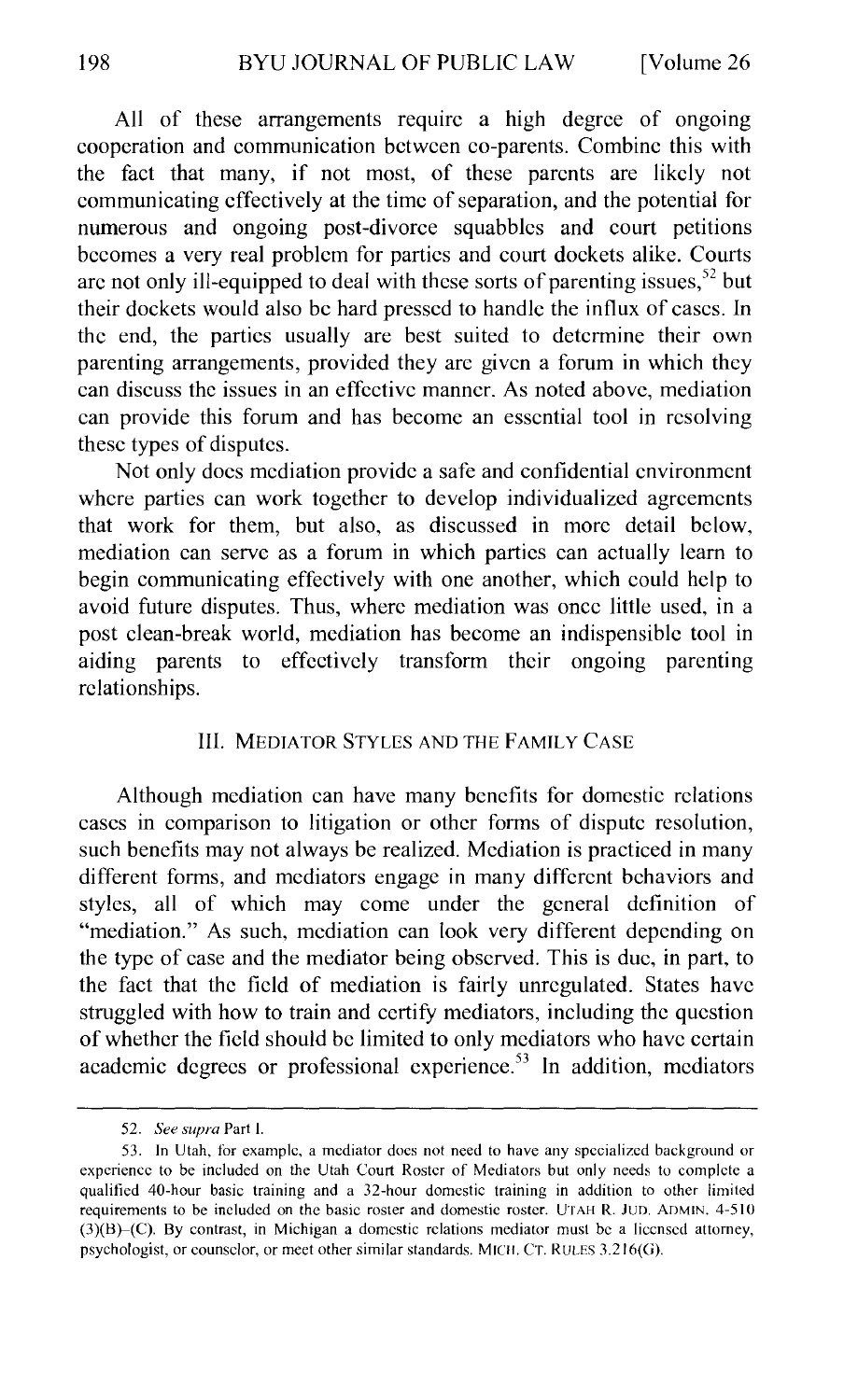All of these arrangements require a high degree of ongoing cooperation and communication between co-parents. Combine this with the fact that many, if not most, of these parents are likely not communicating effectively at the time of separation, and the potential for numerous and ongoing post-divorce squabbles and court petitions becomes a very real problem for parties and court dockets alike. Courts arc not only ill-equipped to deal with these sorts of parenting issues,  $52$  but their dockets would also be hard pressed to handle the influx of cases. In the end, the parties usually are best suited to determine their own parenting arrangements, provided they are given a forum in which they can discuss the issues in an effective manner. As noted above, mediation can provide this forum and has become an essential tool in resolving these types of disputes.

Not only docs mediation provide a safe and confidential environment where parties can work together to develop individualized agreements that work for them, but also, as discussed in more detail below, mediation can serve as a forum in which parties can actually learn to begin communicating effectively with one another, which could help to avoid future disputes. Thus, where mediation was once little used, in a post clean-break world, mediation has become an indispensiblc tool in aiding parents to effectively transform their ongoing parenting relationships.

#### III. MEDIATOR STYLES AND THE FAMILY CASE

Although mediation can have many benefits for domestic relations cases in comparison to litigation or other forms of dispute resolution, such benefits may not always be realized. Mediation is practiced in many different forms, and mediators engage in many different behaviors and styles, all of which may come under the general definition of "mediation." As such, mediation can look very different depending on the type of case and the mediator being observed. This is due, in part, to the fact that the field of mediation is fairly unregulated. States have struggled with how to train and certify mediators, including the question of whether the field should be limited to only mediators who have certain academic degrees or professional experience.<sup>53</sup> In addition, mediators

<sup>52.</sup> *See supra* Part I.

<sup>53.</sup> In Utah, for example, a mediator docs not need to have any specialized background or experience to be included on the Utah Court Roster of Mediators but only needs to complete a qualified 40-hour basic training and a 32-hour domestic training in addition to other limited requirements to be included on the basic roster and domestic roster. UTAH R. Juo. ADMIN. 4-510 (3)(8}-(C). By contrast, in Michigan a domestic relations mediator must be a licensed attorney, psychologist, or counselor, or meet other similar standards. MICII. Cr. RULES 3.216(G).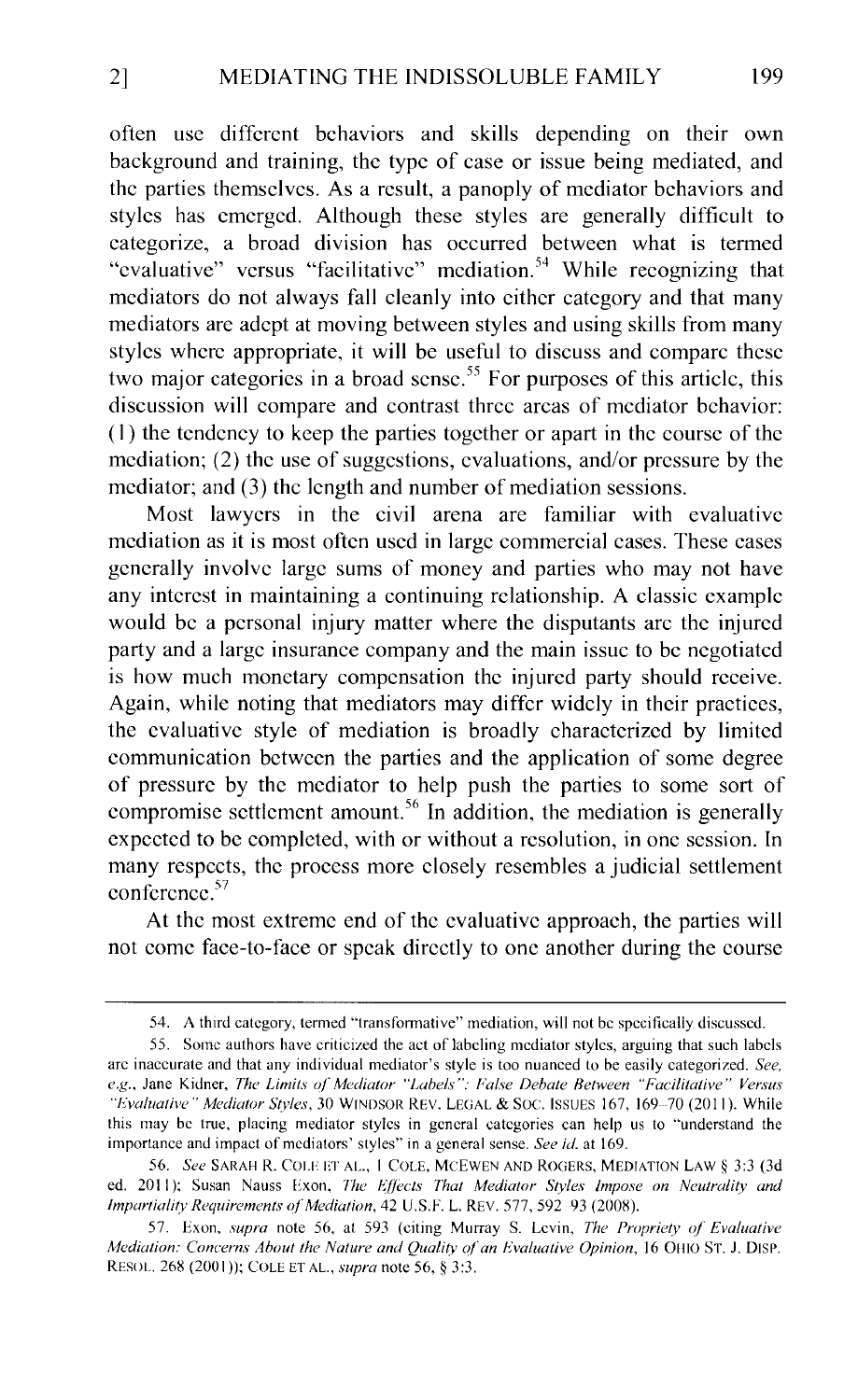often usc different behaviors and skills depending on their own background and training, the type of case or issue being mediated, and the parties themselves. As a result, a panoply of mediator behaviors and styles has emerged. Although these styles are generally difficult to categorize, a broad division has occurred between what is termed "evaluative" versus "facilitative" mediation.<sup>54</sup> While recognizing that mediators do not always fall cleanly into either category and that many mediators arc adept at moving between styles and using skills from many styles where appropriate, it will be useful to discuss and compare these two major categories in a broad sense.<sup>55</sup> For purposes of this article, this discussion will compare and contrast three areas of mediator behavior: (I) the tendency to keep the parties together or apart in the course of the mediation; (2) the use of suggestions, evaluations, and/or pressure by the mediator; and (3) the length and number of mediation sessions.

Most lawyers in the civil arena are familiar with evaluative mediation as it is most often used in large commercial cases. These cases generally involve large sums of money and parties who may not have any interest in maintaining a continuing relationship. A classic example would be a personal injury matter where the disputants arc the injured party and a large insurance company and the main issue to be negotiated is how much monetary compensation the injured party should receive. Again, while noting that mediators may differ widely in their practices, the evaluative style of mediation is broadly characterized by limited communication between the parties and the application of some degree of pressure by the mediator to help push the parties to some sort of compromise settlement amount.<sup>56</sup> In addition, the mediation is generally expected to be completed, with or without a resolution, in one session. In many respects, the process more closely resembles a judicial settlement conference. 57

At the most extreme end of the evaluative approach, the parties will not come face-to-face or speak directly to one another during the course

<sup>54.</sup> A third category, termed "transformative" mediation, will not be specifically discussed.

<sup>55.</sup> Some authors have criticized the act of labeling mediator styles, arguing that such labels arc inaccurate and that any individual mediator's style is too nuanced to be easily categorized. *See,*  e.g., Jane Kidner, *The Limits of Mediator "Labels": False Debate Between "Facilitative" Versus* "*Evaluative" Mediator Styles, 30 WINDSOR REV. LEGAL & SOC. ISSUES 167, 169-70 (2011). While* this may be true, placing mediator styles in general categories can help us to "understand the importance and impact of mediators' styles" in a general sense. *See id.* at 169.

<sup>56.</sup> *See* SARAH R. COLE ET AL., 1 COLE, MCEWEN AND ROGERS, MEDIATION LAW § 3:3 (3d ed. 2011); Susan Nauss Exon, *The Effects That Mediator Styles Impose on Neutrality and Impartiality- Requirements a/Mediation,* 42 U.S.F. L. REV. 577, 592 93 (200X).

<sup>57.</sup> Exon, *supra* note 56, at 593 (citing Murray S. Levin, *The Propriety of Evaluative Mediation: Concerns About the Nature and Quality of an Evaluative Opinion, 16 OHIO ST. J. DISP.* RESOL. 26S (2001 )); COLE ET AL., *supra* note 56,§ 3:3.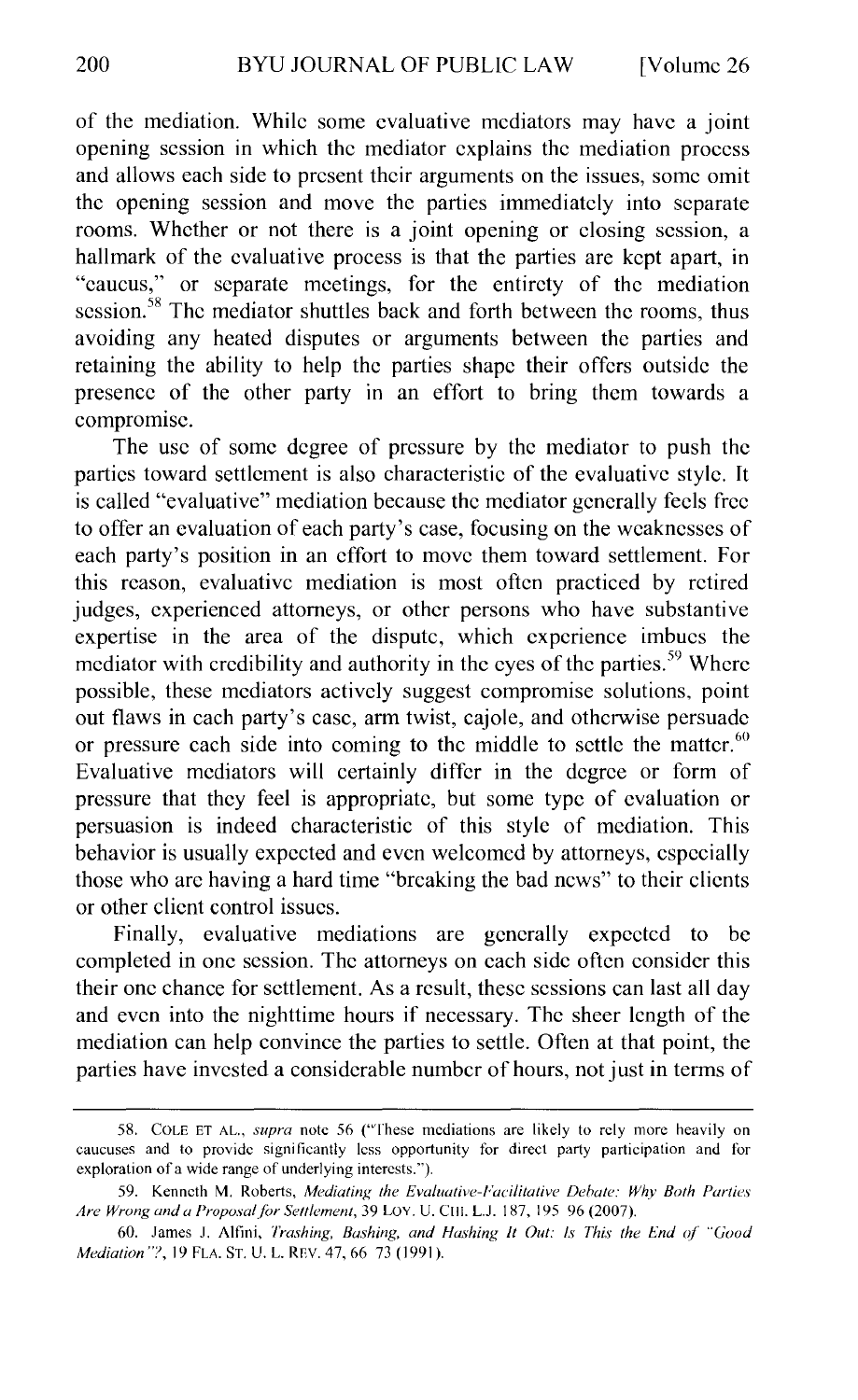of the mediation. While some evaluative mediators may have a joint opening session in which the mediator explains the mediation process and allows each side to present their arguments on the issues, some omit the opening session and move the parties immediately into separate rooms. Whether or not there is a joint opening or closing session, a hallmark of the evaluative process is that the parties are kept apart, in "caucus," or separate meetings, for the entirety of the mediation session.<sup>58</sup> The mediator shuttles back and forth between the rooms, thus avoiding any heated disputes or arguments between the parties and retaining the ability to help the parties shape their offers outside the presence of the other party in an effort to bring them towards a compromise.

The usc of some degree of pressure by the mediator to push the parties toward settlement is also characteristic of the evaluative style. It is called "evaluative" mediation because the mediator generally feels free to offer an evaluation of each party's case, focusing on the weaknesses of each party's position in an effort to move them toward settlement. For this reason, evaluative mediation is most often practiced by retired judges, experienced attorneys, or other persons who have substantive expertise in the area of the dispute, which experience imbues the mediator with credibility and authority in the eyes of the parties.<sup>59</sup> Where possible, these mediators actively suggest compromise solutions, point out flaws in each party's case, arm twist, cajole, and otherwise persuade or pressure cach side into coming to the middle to settle the matter.  $60$ Evaluative mediators will certainly differ in the degree or form of pressure that they feel is appropriate, but some type of evaluation or persuasion is indeed characteristic of this style of mediation. This behavior is usually expected and even welcomed by attorneys, especially those who arc having a hard time "breaking the bad news" to their clients or other client control issues.

Finally, evaluative mediations are generally expected to be completed in one session. The attorneys on each side often consider this their one chance for settlement. As a result, these sessions can last all day and even into the nighttime hours if necessary. The sheer length of the mediation can help convince the parties to settle. Often at that point, the parties have invested a considerable number of hours, not just in terms of

<sup>58.</sup> COLE ET AL., *supra* note 56 ("These mediations are likely to rely more heavily on caucuses and to provide significantly less opportunity for direct party participation and for exploration of a wide range of underlying interests.").

<sup>59.</sup> Kenneth M. Roberts, *Mediating the Evaluative-Facilitative Dehate: Why Both Parties Are Wrong and a Proposal for Settlement, 39 LOY. U. CHI. L.J. 187, 195 96 (2007).* 

<sup>60.</sup> James J. Alfini, *Trashing, Bashing, and Hashing* It *Out: Is This the End of "Good Mediation"?, 19 FLA. ST. U. L. REV. 47, 66 73 (1991).*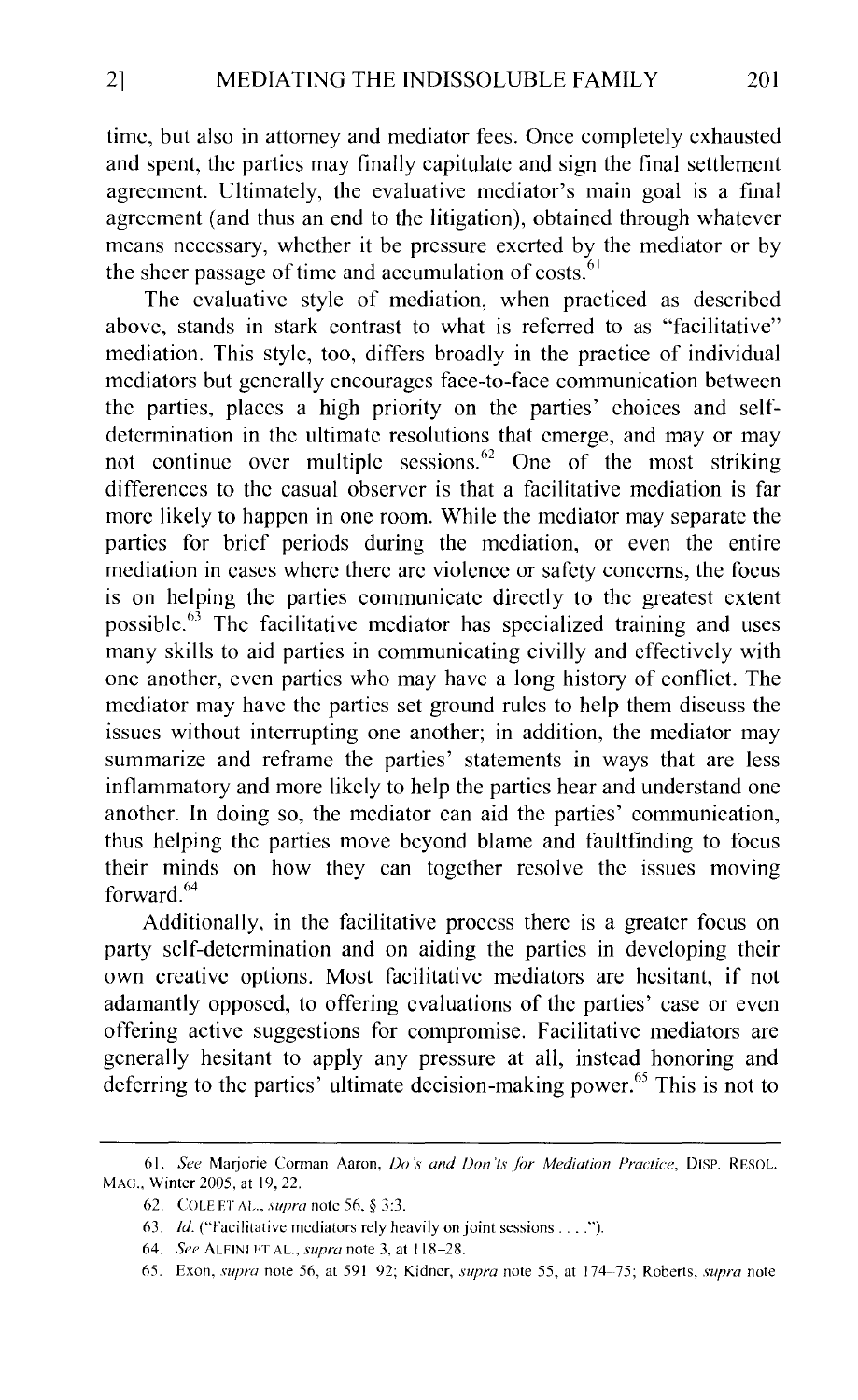time, but also in attorney and mediator fees. Once completely exhausted and spent, the parties may finally capitulate and sign the final settlement agreement. Ultimately, the evaluative mediator's main goal is a final agreement (and thus an end to the litigation), obtained through whatever means necessary, whether it be pressure exerted by the mediator or by the sheer passage of time and accumulation of costs.  $61$ 

The evaluative style of mediation, when practiced as described above, stands in stark contrast to what is referred to as "facilitative" mediation. This style, too, differs broadly in the practice of individual mediators but generally encourages face-to-face communication between the parties, places a high priority on the parties' choices and selfdetermination in the ultimate resolutions that emerge, and may or may not continue over multiple sessions.  $62$  One of the most striking differences to the casual observer is that a facilitative mediation is far more likely to happen in one room. While the mediator may separate the parties for brief periods during the mediation, or even the entire mediation in cases where there arc violence or safety concerns, the focus is on helping the parties communicate directly to the greatest extent possible. $63$  The facilitative mediator has specialized training and uses many skills to aid parties in communicating civilly and effectively with one another, even parties who may have a long history of conflict. The mediator may have the parties set ground rules to help them discuss the issues without interrupting one another; in addition, the mediator may summarize and reframe the parties' statements in ways that are less inflammatory and more likely to help the parties hear and understand one another. In doing so, the mediator can aid the parties' communication, thus helping the parties move beyond blame and faultfinding to focus their minds on how they can together resolve the issues moving forward.<sup>64</sup>

Additionally, in the facilitative process there is a greater focus on party self-determination and on aiding the parties in developing their own creative options. Most facilitative mediators are hesitant, if not adamantly opposed, to offering evaluations of the parties' case or even offering active suggestions for compromise. Facilitative mediators are generally hesitant to apply any pressure at all, instead honoring and deferring to the partics' ultimate decision-making power.<sup>65</sup> This is not to

<sup>61.</sup> *See Marjorie Corman Aaron, Do's and Don'ts for Mediation Practice, DISP. RESOL.* MAG., Winter 2005, at 19, 22.

<sup>62.</sup> COLE ET AL., *supra* note *5(),* § 3:3.

<sup>63.</sup> *Id.* ("Facilitative mediators rely heavily on joint sessions . . . .").

M. *Sl!e* ALFINI ET AL., *supra* note 3, at 118-28.

n5. Exon, *supra* note 51l, at 591 92; Kidncr, *supra* note 55, at 174-75; Roberts, *supra* note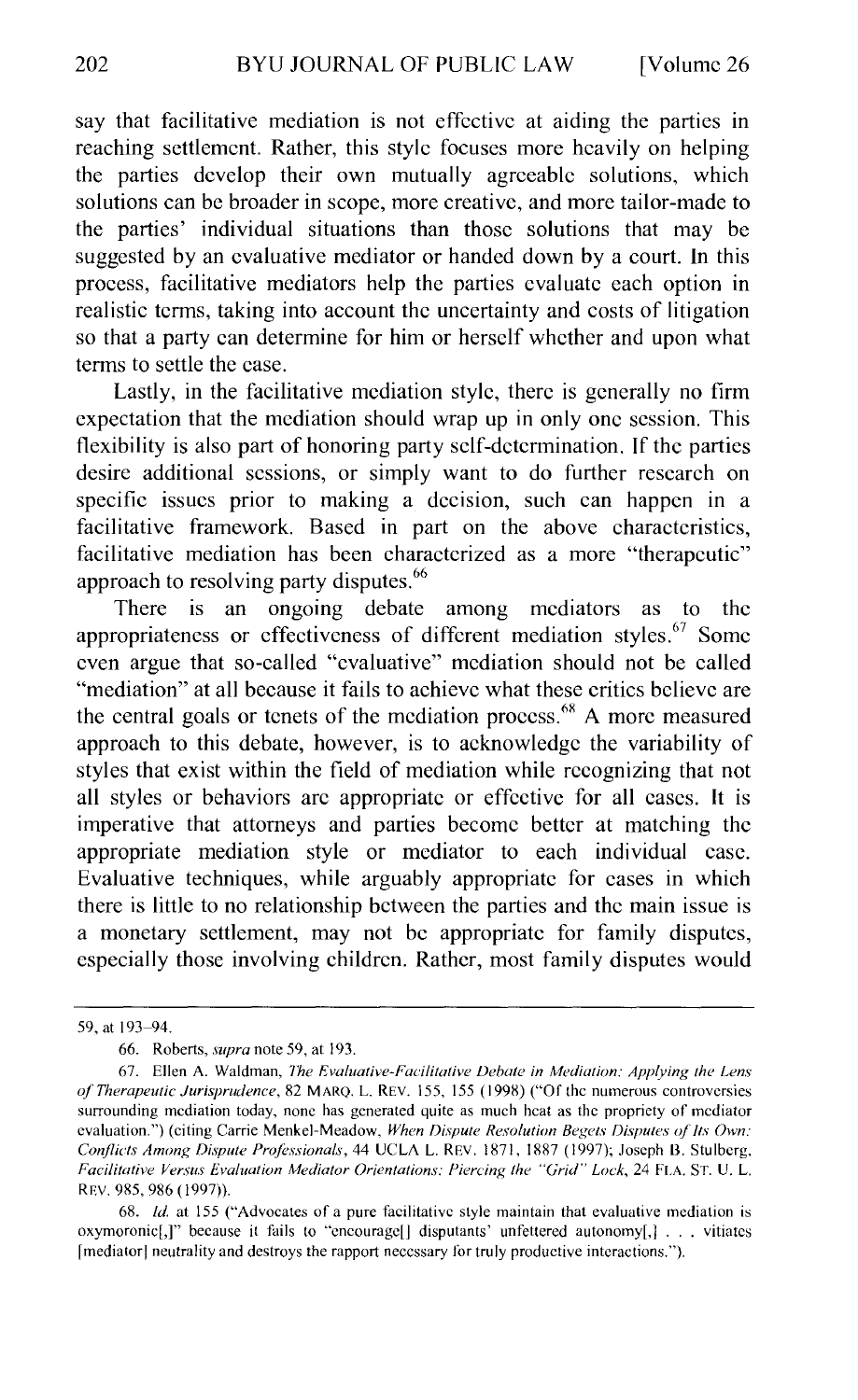say that facilitative mediation is not effective at aiding the parties in reaching settlement. Rather, this style focuses more heavily on helping the parties develop their own mutually agreeable solutions, which solutions can be broader in scope, more creative, and more tailor-made to the parties' individual situations than those solutions that may be suggested by an evaluative mediator or handed down by a court. In this process, facilitative mediators help the parties evaluate each option in realistic terms, taking into account the uncertainty and costs of litigation so that a party can determine for him or herself whether and upon what terms to settle the case.

Lastly, in the facilitative mediation style, there is generally no firm expectation that the mediation should wrap up in only one session. This flexibility is also part of honoring party self-determination. If the parties desire additional sessions, or simply want to do further research on specific issues prior to making a decision, such can happen in a facilitative framework. Based in part on the above characteristics, facilitative mediation has been characterized as a more "therapeutic" approach to resolving party disputes.<sup>66</sup>

There is an ongoing debate among mediators as to the appropriateness or effectiveness of different mediation styles. $67$  Some even argue that so-called "evaluative" mediation should not be called "mediation" at all because it fails to achieve what these critics believe are the central goals or tenets of the mediation process.<sup>68</sup> A more measured approach to this debate, however, is to acknowledge the variability of styles that exist within the field of mediation while recognizing that not all styles or behaviors arc appropriate or effective for all cases. It is imperative that attorneys and parties become better at matching the appropriate mediation style or mediator to each individual case. Evaluative techniques, while arguably appropriate for cases in which there is little to no relationship between the parties and the main issue is a monetary settlement, may not be appropriate for family disputes, especially those involving children. Rather, most family disputes would

<sup>59,</sup> at 193-94.

<sup>66.</sup> Roberts, *supra* note 59, at 193.

<sup>67.</sup> Ellen A. Waldman, *The Evaluative-Facilitative Debate in Mediation: Applying the Lens of"Therapeutic Jurisprudence,* 82 MARQ. L. REV. 155, 155 ( 1998) ("Of the numerous controversies surrounding mediation today, none has generated quite as much heat as the propriety of mediator evaluation.") (citing Carrie Menkel-Meadow, When Dispute Resolution Begets Disputes of Its Own: Conflicts Among Dispute Professionals, 44 UCLA L. REV. 1871, 1887 (1997); Joseph B. Stulberg, *Facilitative Versus Evaluation Mediator Orientations: Piercing the "Grid"' Lock,* 24 FLA. ST. U. L. REV. 985, 986 (1997)).

<sup>68.</sup> *!d.* at 155 ("Advocates of a pure facilitative style maintain that evaluative mediation is oxymoronic[,]" because it fails to "encourage[] disputants' unfettered autonomy[,] ... vitiates [mediator! neutrality and destroys the rapport necessary for truly productive interactions.").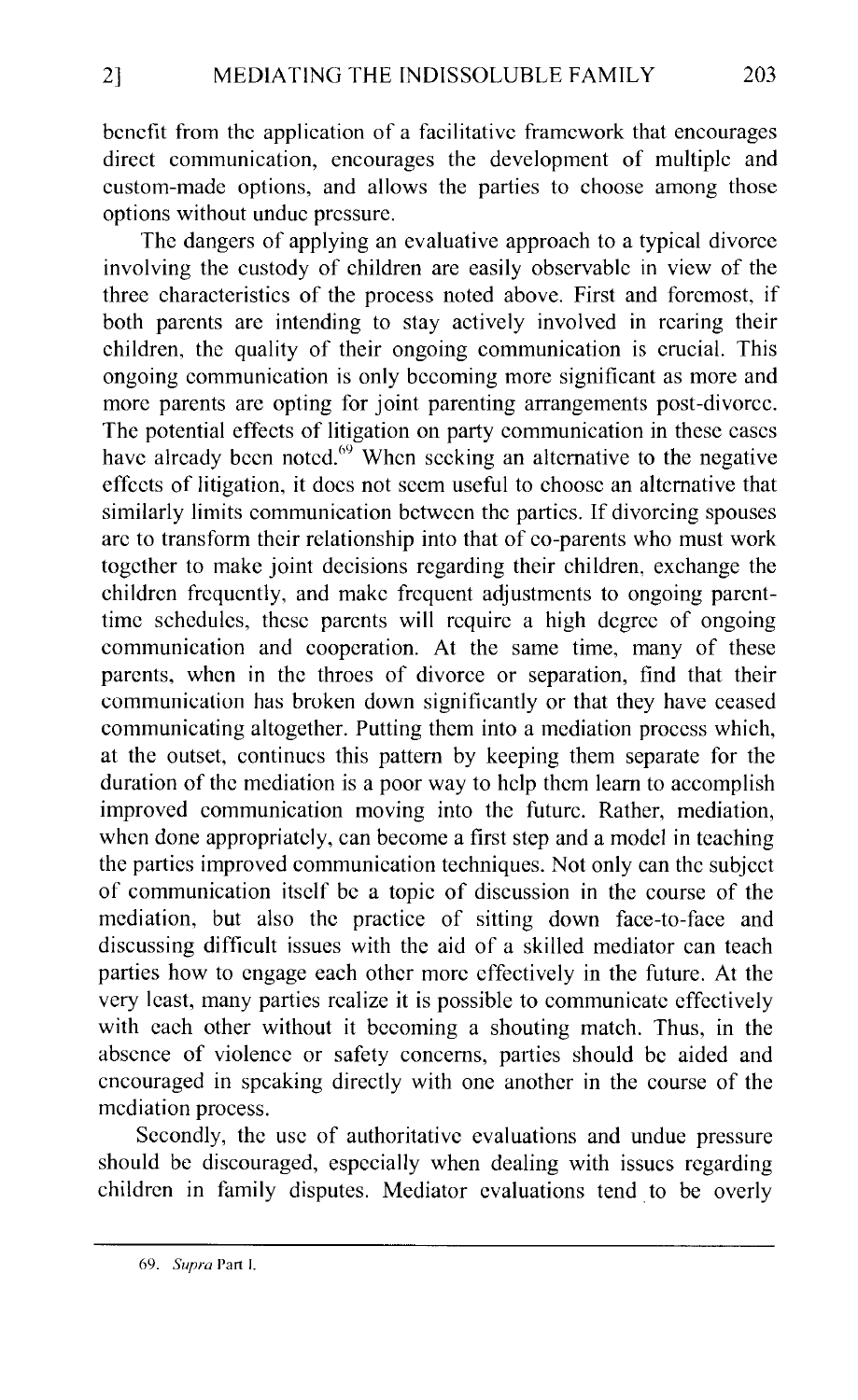benefit from the application of a facilitative framework that encourages direct communication, encourages the development of multiple and custom-made options, and allows the parties to choose among those options without undue pressure.

The dangers of applying an evaluative approach to a typical divorce involving the custody of children are easily observable in view of the three characteristics of the process noted above. First and foremost, if both parents are intending to stay actively involved in rearing their children, the quality of their ongoing communication is crucial. This ongoing communication is only becoming more significant as more and more parents arc opting for joint parenting arrangements post-divorce. The potential effects of litigation on party communication in these cases have already been noted. $69$  When seeking an alternative to the negative effects of litigation, it docs not seem useful to choose an alternative that similarly limits communication between the parties. If divorcing spouses arc to transform their relationship into that of co-parents who must work together to make joint decisions regarding their children, exchange the children frequently, and make frequent adjustments to ongoing parenttime schedules, these parents will require a high degree of ongoing communication and cooperation. At the same time, many of these parents, when in the throes of divorce or separation, find that their communication has broken down significantly or that they have ceased communicating altogether. Putting them into a mediation process which, at the outset, continues this pattern by keeping them separate for the duration of the mediation is a poor way to help them learn to accomplish improved communication moving into the future. Rather, mediation, when done appropriately, can become a first step and a model in teaching the parties improved communication techniques. Not only can the subject of communication itself be a topic of discussion in the course of the mediation, but also the practice of sitting down face-to-face and discussing difficult issues with the aid of a skilled mediator can teach parties how to engage each other more effectively in the future. At the very least, many parties realize it is possible to communicate effectively with each other without it becoming a shouting match. Thus, in the absence of violence or safety concerns, parties should be aided and encouraged in speaking directly with one another in the course of the mediation process.

Secondly, the usc of authoritative evaluations and undue pressure should be discouraged, especially when dealing with issues regarding children in family disputes. Mediator evaluations tend. to be overly

<sup>69.</sup> *Supra* Part I.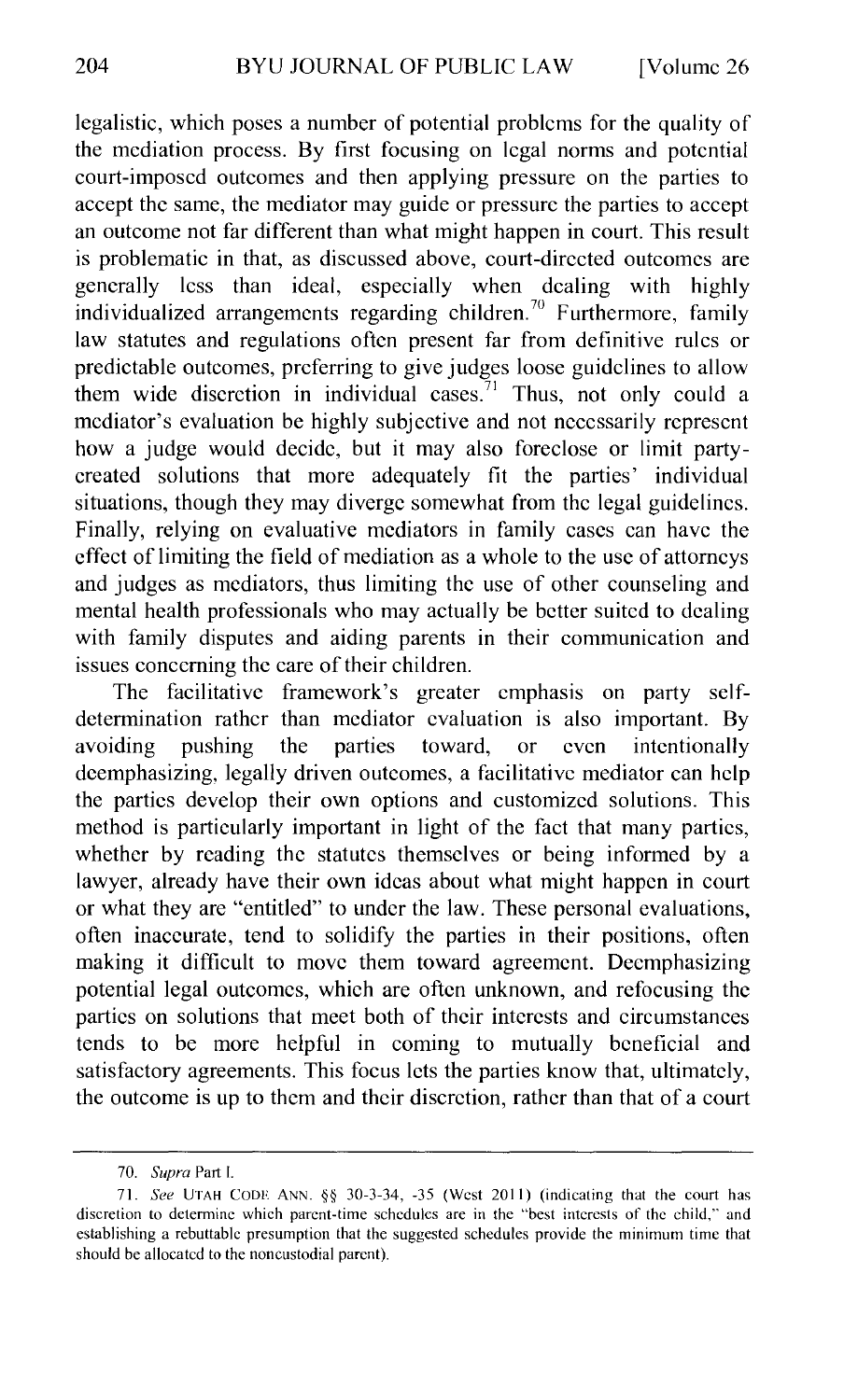legalistic, which poses a number of potential problems for the quality of the mediation process. By first focusing on legal norms and potential court-imposed outcomes and then applying pressure on the parties to accept the same, the mediator may guide or pressure the parties to accept an outcome not far different than what might happen in court. This result is problematic in that, as discussed above, court-directed outcomes arc generally less than ideal, especially when dealing with highly individualized arrangements regarding children.<sup>70</sup> Furthermore, family law statutes and regulations often present far from definitive rules or predictable outcomes, preferring to give judges loose guidelines to allow them wide discretion in individual cases.<sup>71</sup> Thus, not only could a mediator's evaluation be highly subjective and not necessarily represent how a judge would decide, but it may also foreclose or limit partycreated solutions that more adequately fit the parties' individual situations, though they may diverge somewhat from the legal guidelines. Finally, relying on evaluative mediators in family cases can have the effect of limiting the field of mediation as a whole to the usc of attorneys and judges as mediators, thus limiting the use of other counseling and mental health professionals who may actually be better suited to dealing with family disputes and aiding parents in their communication and issues concerning the care of their children.

The facilitative framework's greater emphasis on party selfdetermination rather than mediator evaluation is also important. By avoiding pushing the parties toward, or even intentionally dcemphasizing, legally driven outcomes, a facilitative mediator can help the parties develop their own options and customized solutions. This method is particularly important in light of the fact that many parties, whether by reading the statutes themselves or being informed by a lawyer, already have their own ideas about what might happen in court or what they are "entitled" to under the law. These personal evaluations, often inaccurate, tend to solidify the parties in their positions, often making it difficult to move them toward agreement. Decmphasizing potential legal outcomes, which are often unknown, and refocusing the parties on solutions that meet both of their interests and circumstances tends to be more helpful in coming to mutually beneficial and satisfactory agreements. This focus lets the parties know that, ultimately, the outcome is up to them and their discretion, rather than that of a court

<sup>70.</sup> *Supra* Part I.

<sup>71.</sup> See UTAH CODE ANN. §§ 30-3-34, -35 (West 2011) (indicating that the court has discretion to determine which parent-time schedules are in the "best interests of the child," and establishing a rebuttable presumption that the suggested schedules provide the minimum time that should be allocated to the noncustodial parent).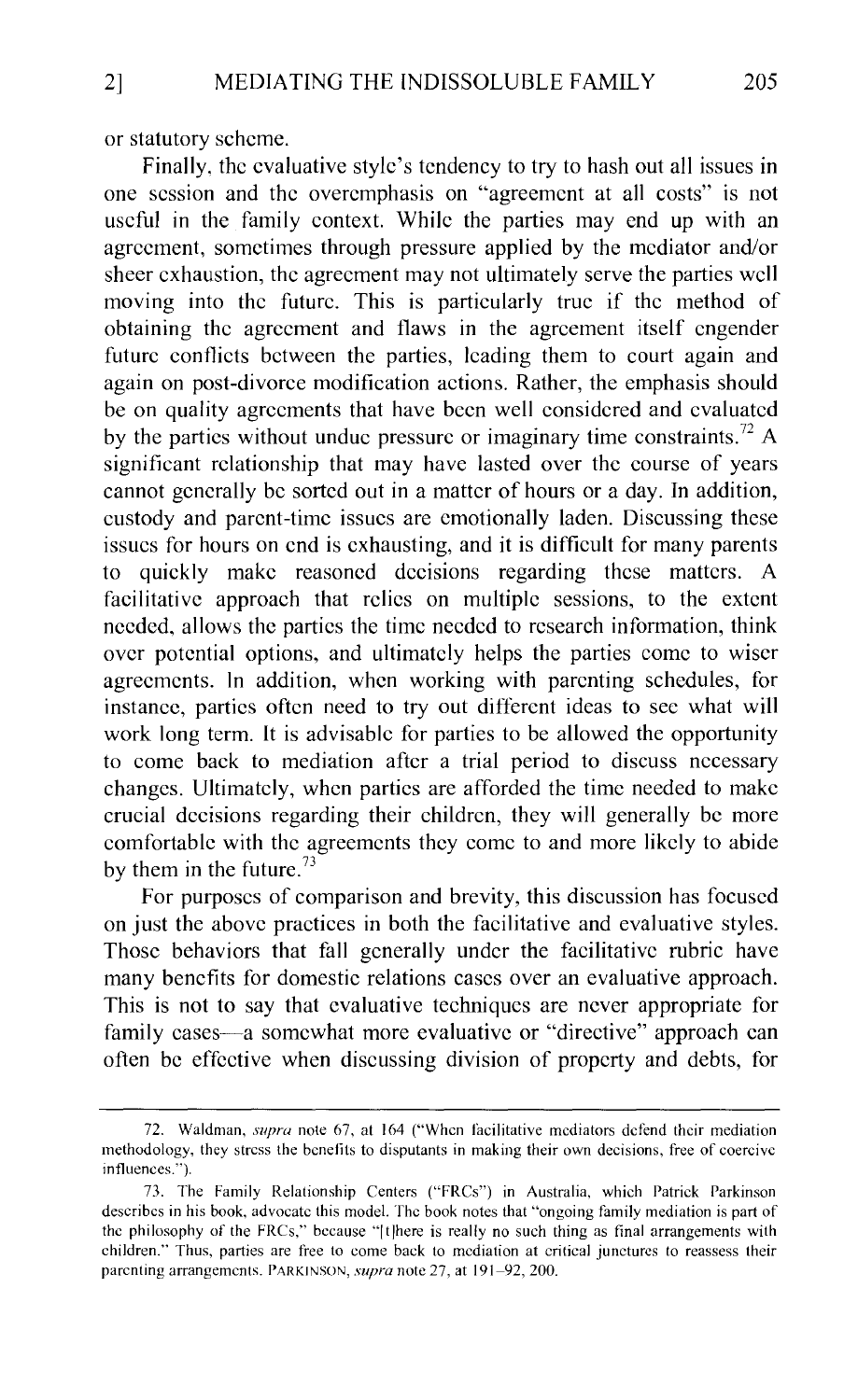or statutory scheme.

Finally, the evaluative style's tendency to try to hash out all issues in one session and the overemphasis on "agreement at all costs" is not useful in the family context. While the parties may end up with an agreement, sometimes through pressure applied by the mediator and/or sheer exhaustion, the agreement may not ultimately serve the parties wc11 moving into the future. This is particularly true if the method of obtaining the agreement and flaws in the agreement itself engender future conflicts between the parties, leading them to court again and again on post-divorce modification actions. Rather, the emphasis should be on quality agreements that have been well considered and evaluated by the parties without undue pressure or imaginary time constraints.<sup>72</sup> A significant relationship that may have lasted over the course of years cannot generally be sorted out in a matter of hours or a day. In addition, custody and parent-time issues are emotiona1ly laden. Discussing these issues for hours on end is exhausting, and it is difficult for many parents to quickly make reasoned decisions regarding these matters. A facilitative approach that relics on multiple sessions, to the extent needed, a1lows the parties the time needed to research information, think over potential options, and ultimately helps the parties come to wiser agreements. In addition, when working with parenting schedules, for instance, parties often need to try out different ideas to see what will work long term. It is advisable for parties to be allowed the opportunity to come back to mediation after a trial period to discuss necessary changes. Ultimately, when parties are afforded the time needed to make crucial decisions regarding their children, they will generally be more comfortable with the agreements they come to and more likely to abide by them in the future. $^{73}$ 

For purposes of comparison and brevity, this discussion has focused on just the above practices in both the facilitative and evaluative styles. Those behaviors that fall generally under the facilitative rubric have many benefits for domestic relations cases over an evaluative approach. This is not to say that evaluative techniques are never appropriate for family cases—a somewhat more evaluative or "directive" approach can often be effective when discussing division of property and debts, for

<sup>72.</sup> Waldman, *supra* note 67, at 164 ("When facilitative mediators defend their mediation methodology, they stress the benefits to disputants in making their own decisions, free of coercive influences.").

<sup>73.</sup> The Family Relationship Centers ("FRCs") in Australia, which Patrick Parkinson describes in his book, advocate this model. The book notes that "ongoing family mediation is part of the philosophy of the FRCs," because "ltJhere is really no such thing as final arrangements with children." Thus, parties are free to come back to mediation at critical junctures to reassess their parenting arrangements. PARKINSON, *supra* note 27, at 191-92, 200.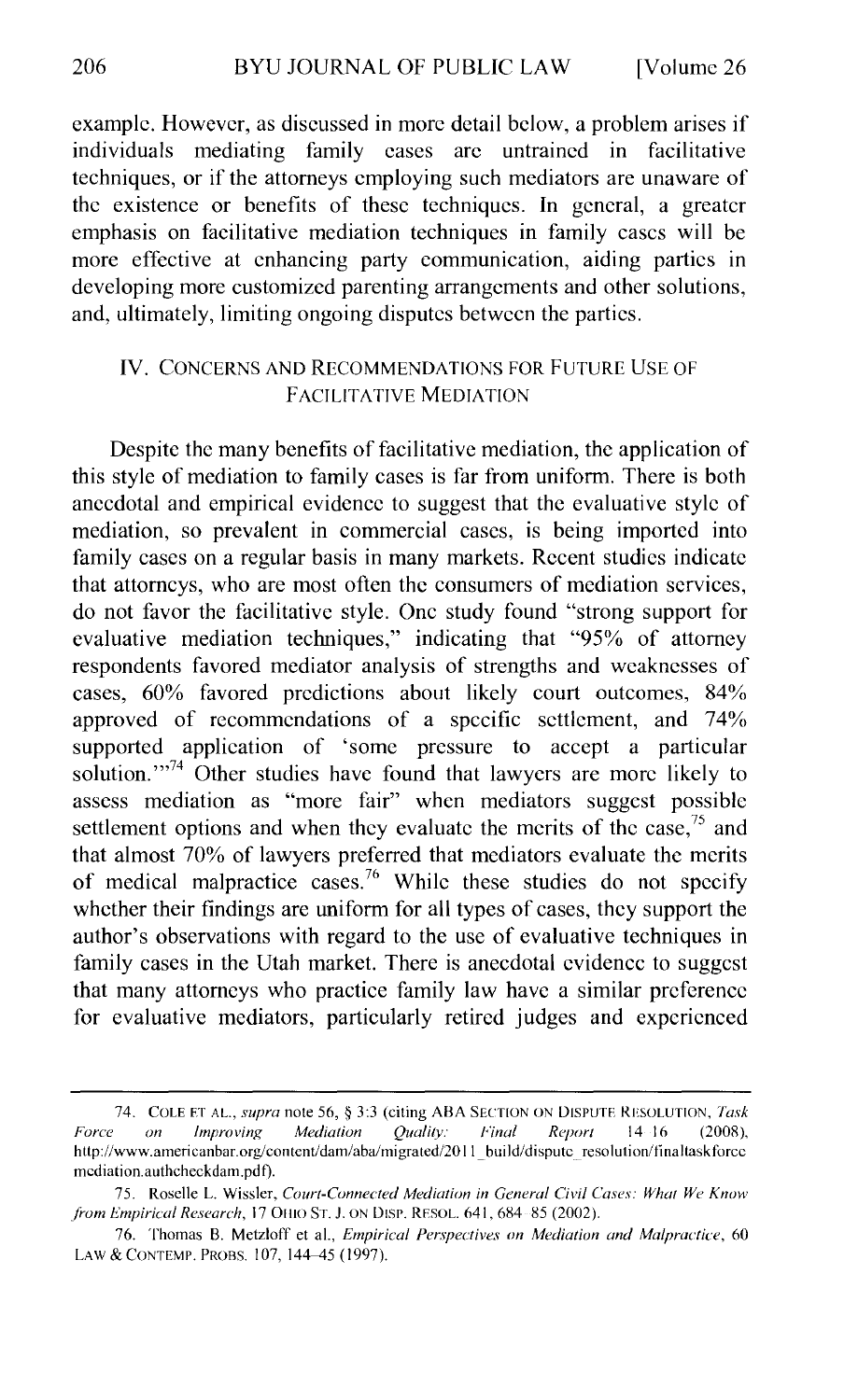example. However, as discussed in more detail below, a problem arises if individuals mediating family cases are untrained in facilitative mediating family cases arc untrained in facilitative techniques, or if the attorneys employing such mediators are unaware of the existence or benefits of these techniques. In general, a greater emphasis on facilitative mediation techniques in family cases will be more effective at enhancing party communication, aiding parties in developing more customized parenting arrangements and other solutions, and, ultimately, limiting ongoing disputes between the parties.

#### IV. CONCERNS AND RECOMMENDATIONS FOR FUTURE USE OF FACILITATIVE MEDIATION

Despite the many benefits of facilitative mediation, the application of this style of mediation to family cases is far from uniform. There is both anecdotal and empirical evidence to suggest that the evaluative style of mediation, so prevalent in commercial cases, is being imported into family cases on a regular basis in many markets. Recent studies indicate that attorneys, who are most often the consumers of mediation services, do not favor the facilitative style. One study found "strong support for evaluative mediation techniques," indicating that "95% of attorney respondents favored mediator analysis of strengths and weaknesses of cases, 60% favored predictions about likely court outcomes, 84% approved of recommendations of a specific settlement, and 74% supported application of 'some pressure to accept a particular solution."<sup>74</sup> Other studies have found that lawyers are more likely to assess mediation as "more fair" when mediators suggest possible settlement options and when they evaluate the merits of the case,  $75$  and that almost 70% of lawyers preferred that mediators evaluate the merits of medical malpractice cases.<sup>76</sup> While these studies do not specify whether their findings are uniform for all types of cases, they support the author's observations with regard to the use of evaluative techniques in family cases in the Utah market. There is anecdotal evidence to suggest that many attorneys who practice family law have a similar preference for evaluative mediators, particularly retired judges and experienced

<sup>74.</sup> COLE F.T AL., *supra* note 56, § 3:3 (citing ABA SECTION ON DISPUTE RESOLUTION, *Task Force on Improving Mediation Quality: Final Report* 14 16 (2008), http://www.americanbar.org/content/dam/aba/migrated/2011\_build/dispute\_resolution/finaltaskforce mcdiation.authcheckdam.pdf).

<sup>75.</sup> Roselle L. Wissler, *Court-Connected Mediation in General Civil Cases: What We Know from Empirical Research, 17 OHIO ST. J. ON DISP. RESOL. 641, 684-85 (2002).* 

<sup>76.</sup> Thomas B. Metzloff et al., *Empirical Per.1pectives on Mediation and Malpractice,* 60 LAW & CONTEMP. PROBS. 107, 144-45 (1997).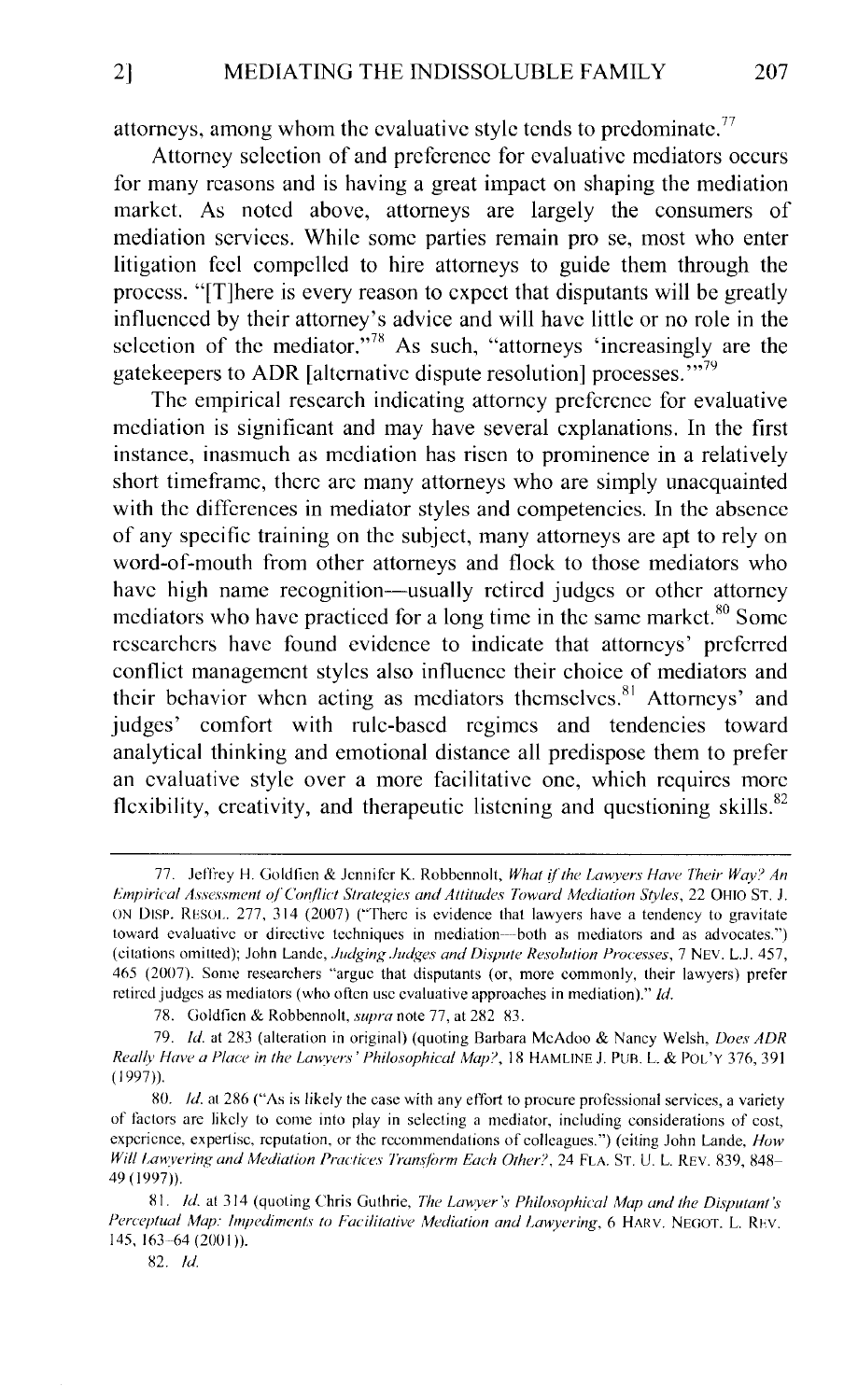attorneys, among whom the evaluative style tends to predominate.<sup>77</sup>

Attorney selection of and preference for evaluative mediators occurs for many reasons and is having a great impact on shaping the mediation market. As noted above, attorneys are largely the consumers of mediation services. While some parties remain pro se, most who enter litigation feel compelled to hire attorneys to guide them through the process. "[T]here is every reason to expect that disputants will be greatly influenced by their attorney's advice and will have little or no role in the selection of the mediator."<sup>78</sup> As such, "attorneys 'increasingly are the gatekeepers to ADR [alternative dispute resolution] processes."<sup>79</sup>

The empirical research indicating attorney preference for evaluative mediation is significant and may have several explanations. In the first instance, inasmuch as mediation has risen to prominence in a relatively short timeframe, there arc many attorneys who are simply unacquainted with the differences in mediator styles and competencies. In the absence of any specific training on the subject, many attorneys are apt to rely on word-of-mouth from other attorneys and flock to those mediators who have high name recognition—usually retired judges or other attorney mediators who have practiced for a long time in the same market. $80$  Some researchers have found evidence to indicate that attorneys' preferred conflict management styles also influence their choice of mediators and their behavior when acting as mediators themselves. $81$  Attorneys' and judges' comfort with rule-based regimes and tendencies toward analytical thinking and emotional distance all predispose them to prefer an evaluative style over a more facilitative one, which requires more flexibility, creativity, and therapeutic listening and questioning skills.<sup>82</sup>

82. *!d.* 

<sup>77.</sup> Jeffrey H. Goldfien & Jennifer K. Robbennolt, What if the Lawyers Have Their Way? An *lo'mpirical Assessment o/Conflict Strategies and Attitudes Toward Mediation Styles,* 22 OHIO ST. J. ON DISP. RESOI.. 277, 314 (2007) ("There is evidence that lawyers have a tendency to gravitate toward evaluative or directive techniques in mediation---both as mediators and as advocates.") (citations omitted); John Lande, *Judging Judges and Dispute Resolution Processes*, 7 NEV. L.J. 457, 465 (2007). Some researchers "argue that disputants (or, more commonly, their lawyers) prefer retired judges as mediators (who often usc evaluative approaches in mediation)." *!d.* 

<sup>78.</sup> Goldfien & Robbennolt, *supra* note 77, at 282 83.

<sup>79.</sup> *!d.* at 283 (alteration in original) (quoting Barbara McAdoo & Nancy Welsh, *Does ADR Really Have a Place in the Lawyers' Philosophical Map?*, 18 HAMLINE J. PUB. L. & POL'Y 376, 391 ( 1997)).

<sup>80.</sup> *ld.* at 286 ("As is likely the case with any effort to procure professional services, a variety of factors are likely to come into play in selecting a mediator, including considerations of cost, experience, expertise, reputation, or the recommendations of colleagues.") (eiting John Lande, *How* Will Lawyering and Mediation Practices Transform Each Other?, 24 FLA. ST. U. L. REV. 839, 848-49 (1997))

<sup>81.</sup> *!d.* at 314 (quoting Chris Guthrie, *The Lawver's Philosophical Map and the Disputant's Perceptual Map: Impediments to Facilitative Mediation and Lawyering,* 6 HARV. NEGOT. L. REV. 145, 163-64 (2001)).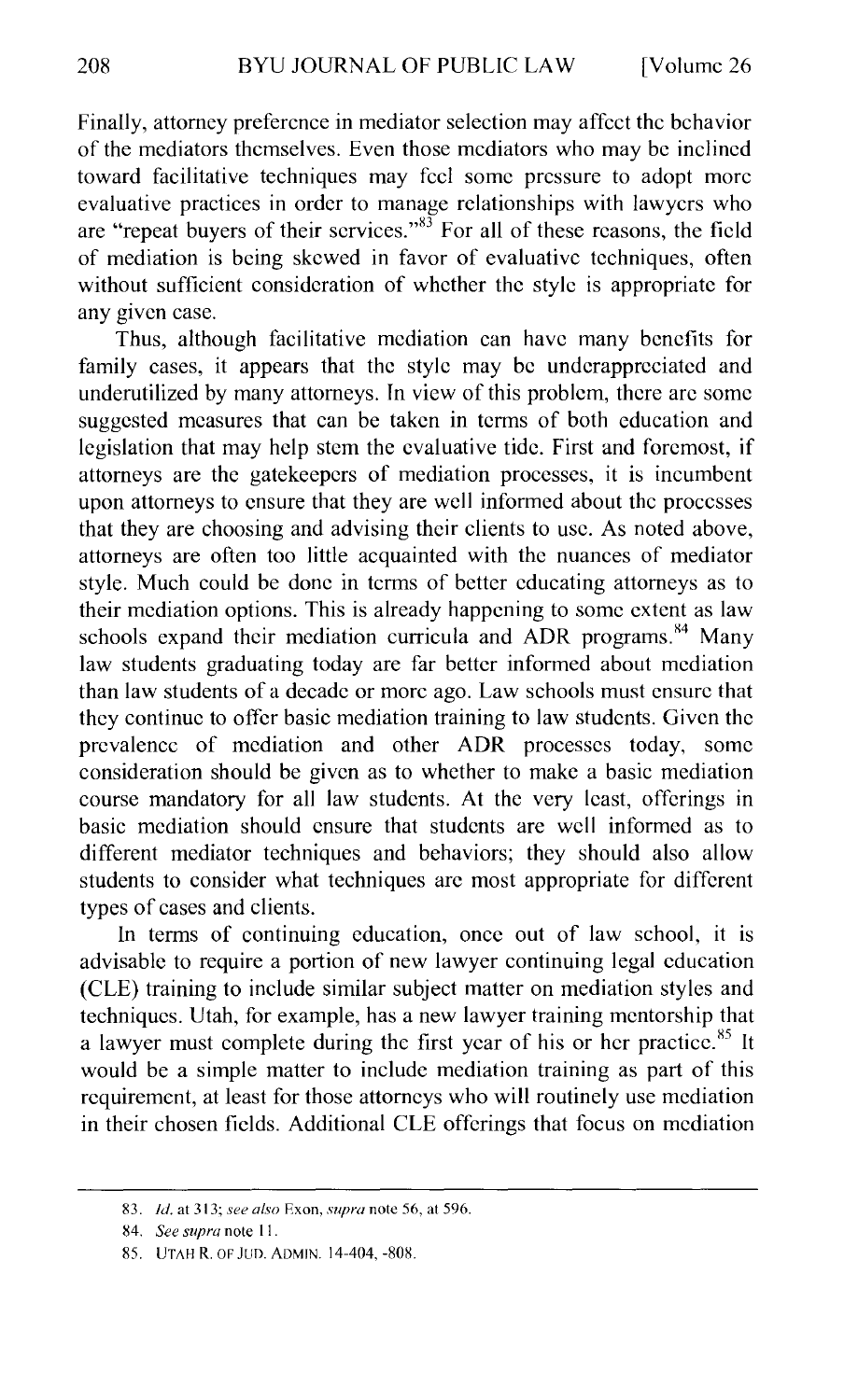Finally, attorney preference in mediator selection may affect the behavior of the mediators themselves. Even those mediators who may be inclined toward facilitative techniques may feel some pressure to adopt more evaluative practices in order to manage relationships with lawyers who are "repeat buyers of their services."<sup>83</sup> For all of these reasons, the field of mediation is being skewed in favor of evaluative techniques, often without sufficient consideration of whether the style is appropriate for any given case.

Thus, although facilitative mediation can have many benefits for family cases, it appears that the style may be undcrappreciatcd and underutilized by many attorneys. In view of this problem, there arc some suggested measures that can be taken in terms of both education and legislation that may help stem the evaluative tide. First and foremost, if attorneys are the gatekeepers of mediation processes, it is incumbent upon attorneys to ensure that they are well informed about the processes that they are choosing and advising their clients to usc. As noted above, attorneys are often too little acquainted with the nuances of mediator style. Much could be done in terms of better educating attorneys as to their mediation options. This is already happening to some extent as law schools expand their mediation curricula and ADR programs. $^{84}$  Many law students graduating today are far better informed about mediation than law students of a decade or more ago. Law schools must ensure that they continue to offer basic mediation training to law students. Given the prevalence of mediation and other ADR processes today, some consideration should be given as to whether to make a basic mediation course mandatory for all law students. At the very least, offerings in basic mediation should ensure that students arc well informed as to different mediator techniques and behaviors; they should also allow students to consider what techniques arc most appropriate for different types of cases and clients.

In terms of continuing education, once out of law school, it is advisable to require a portion of new lawyer continuing legal education (CLE) training to include similar subject matter on mediation styles and techniques. Utah, for example, has a new lawyer training mentorship that a lawyer must complete during the first year of his or her practice.<sup>85</sup> It would be a simple matter to include mediation training as part of this requirement, at least for those attorneys who will routinely use mediation in their chosen fields. Additional CLE offerings that focus on mediation

<sup>83.</sup> *!d.* at 313; *see also* Ex on, *supra* note 56, at 596.

S4. *See supra* note II.

<sup>85.</sup> UTAH R. OF JUD. ADMIN. 14-404, -80S.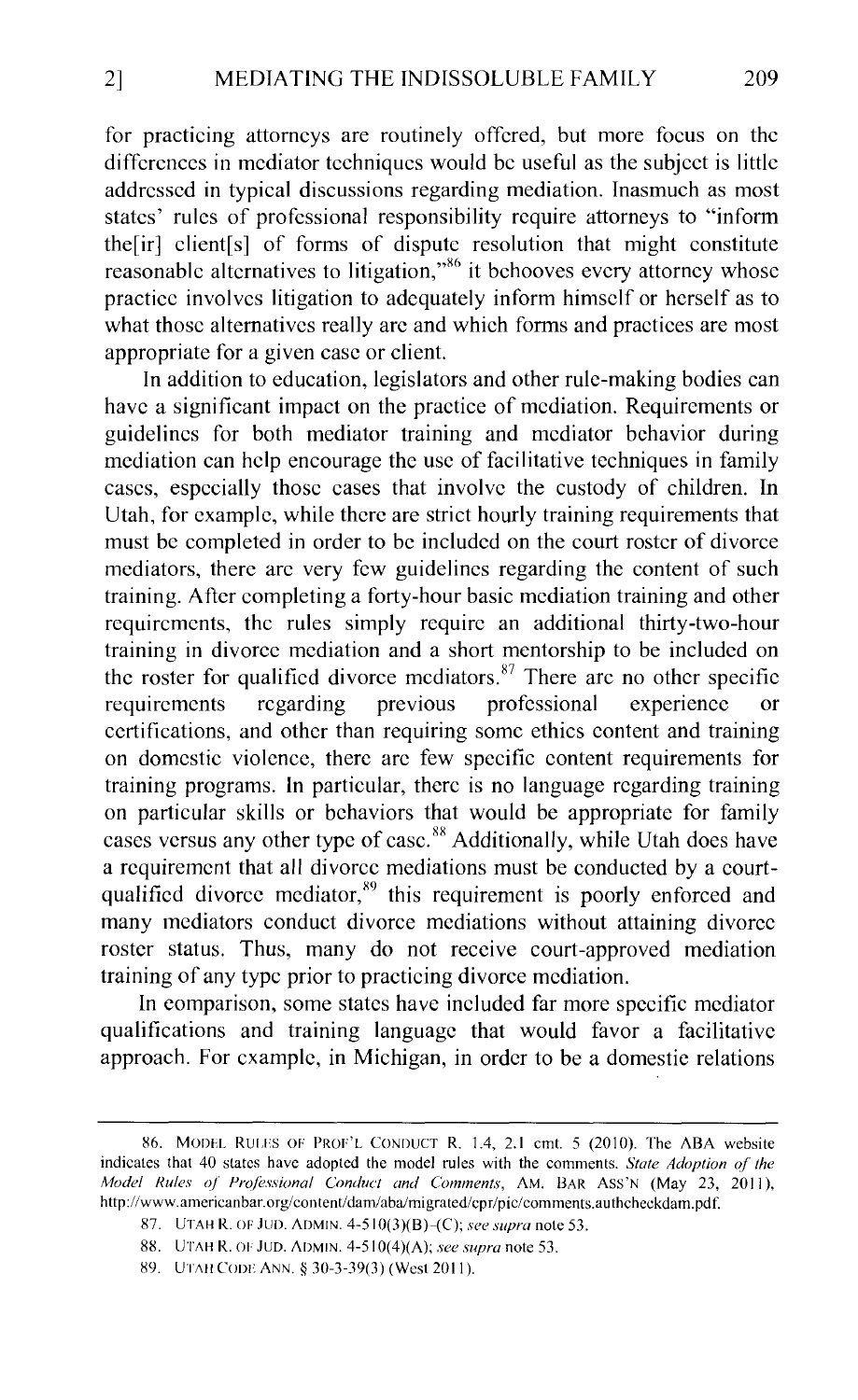for practicing attorneys are routinely offered, but more focus on the differences in mediator techniques would be useful as the subject is little addressed in typical discussions regarding mediation. Inasmuch as most states' rules of professional responsibility require attorneys to "inform the<sup>[ir]</sup> client<sup>[s]</sup> of forms of dispute resolution that might constitute reasonable alternatives to litigation,"<sup>86</sup> it behooves every attorney whose practice involves litigation to adequately inform himself or herself as to what those alternatives really are and which forms and practices are most appropriate for a given case or client.

In addition to education, legislators and other rule-making bodies can have a significant impact on the practice of mediation. Requirements or guidelines for both mediator training and mediator behavior during mediation can help encourage the usc of facilitative techniques in family cases, especially those cases that involve the custody of children. In Utah, for example, while there are strict hourly training requirements that must be completed in order to be included on the court roster of divorce mediators, there arc very few guidelines regarding the content of such training. After completing a forty-hour basic mediation training and other requirements, the rules simply require an additional thirty-two-hour training in divorce mediation and a short mentorship to be included on the roster for qualified divorce mediators. $87$  There arc no other specific requirements regarding previous professional experience or certifications, and other than requiring some ethics content and training on domestic violence, there arc few specific content requirements for training programs. In particular, there is no language regarding training on particular skills or behaviors that would be appropriate for family cases versus any other type of case.<sup>88</sup> Additionally, while Utah does have a requirement that all divorce mediations must be conducted by a courtqualified divorce mediator,<sup>89</sup> this requirement is poorly enforced and many mediators conduct divorce mediations without attaining divorce roster status. Thus, many do not receive court-approved mediation training of any type prior to practicing divorce mediation.

In comparison, some states have included far more specific mediator qualifications and training language that would favor a facilitative approach. For example, in Michigan, in order to be a domestic relations

<sup>86.</sup> MODEL RULES OF PROF'L CONDUCT R. 1.4, 2.1 cmt. 5 (2010). The ABA website indicates that 40 states have adopted the model rules with the comments. *State Adoption of the Model Rules of Professional Conduct and Comments,* AM. BAR Ass'N (May 23, 2011), http://www.americanbar.org/content/dam/aba/migrated/cpr/pic/comments.authcheckdam.pdf.

<sup>87.</sup> UTAH R. OF JUD. ADMIN. 4-510(3)(B)-(C); see supra note 53.

<sup>8</sup>H. UTAH R. 01· JUD. ADMIN. 4-510(4)(A); *see supra* note 53.

<sup>89.</sup> UTAH CODE ANN. § 30-3-39(3) (West 2011).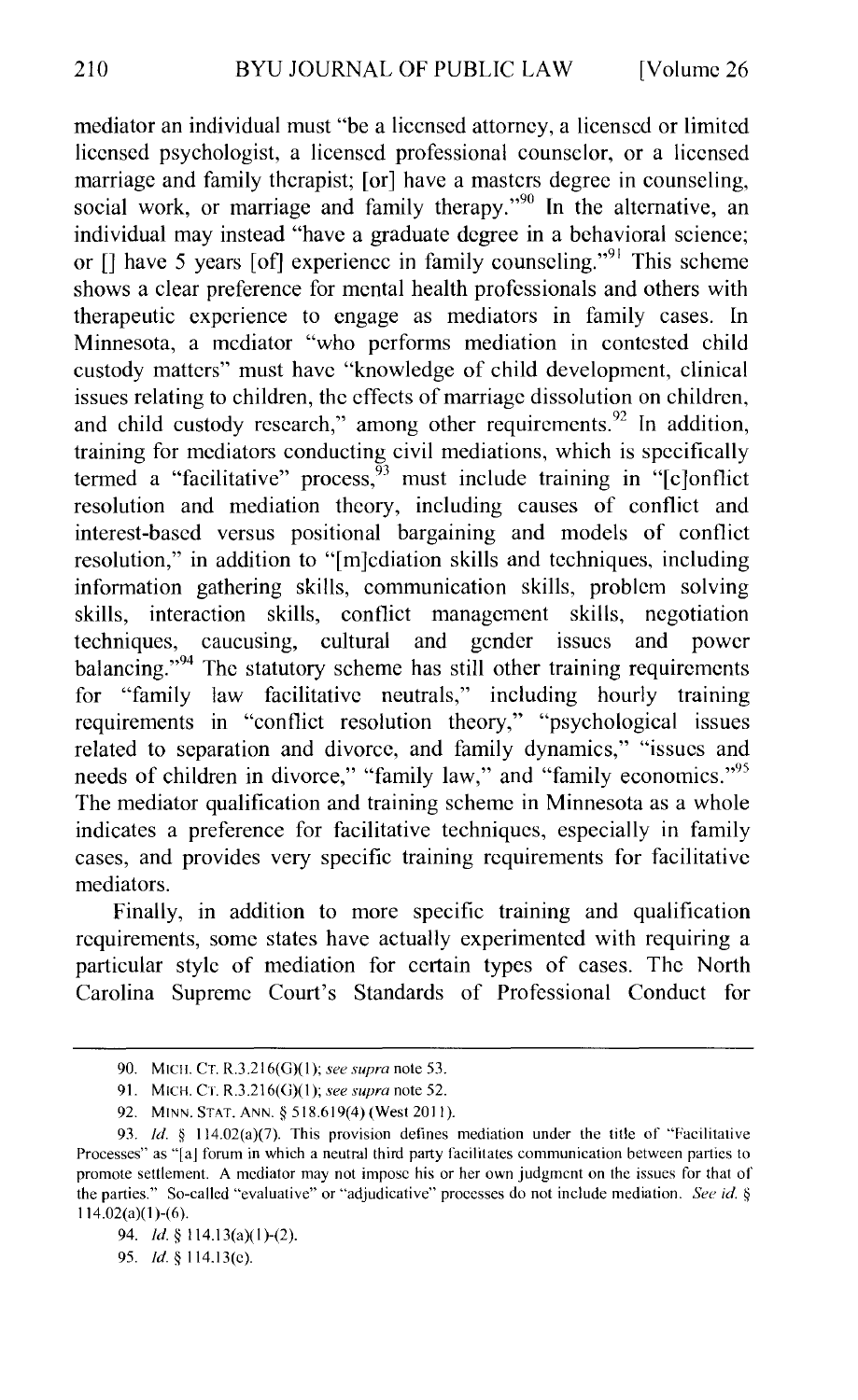mediator an individual must "be a licensed attorney, a licensed or limited licensed psychologist, a licensed professional counselor, or a licensed marriage and family therapist; [or] have a masters degree in counseling, social work, or marriage and family therapy."<sup>90</sup> In the alternative, an individual may instead "have a graduate degree in a behavioral science; or  $\lceil \cdot \rceil$  have 5 years  $\lceil \cdot \cdot \rceil$  experience in family counseling.<sup>"91</sup> This scheme shows a clear preference for mental health professionals and others with therapeutic experience to engage as mediators in family cases. In Minnesota, a mediator "who performs mediation in contested child custody matters" must have "knowledge of child development, clinical issues relating to children, the effects of marriage dissolution on children, and child custody research," among other requirements.<sup>92</sup> In addition, training for mediators conducting civil mediations, which is specifically termed a "facilitative" process,  $93$  must include training in "[c]onflict resolution and mediation theory, including causes of conflict and interest-based versus positional bargaining and models of conflict resolution," in addition to "[m]cdiation skills and techniques, including information gathering skills, communication skills, problem solving skills, interaction skills, conflict management skills, negotiation techniques, caucusing, cultural and gender issues and power techniques, caucusing, cultural and gender issues and power balancing."<sup>94</sup> The statutory scheme has still other training requirements for "family law facilitative neutrals," including hourly training requirements in "conflict resolution theory," "psychological issues related to separation and divorce, and family dynamics," "issues and needs of children in divorce," "family law," and "family economics."<sup>95</sup> The mediator qualification and training scheme in Minnesota as a whole indicates a preference for facilitative techniques, especially in family cases, and provides very specific training requirements for facilitative mediators.

Finally, in addition to more specific training and qualification requirements, some states have actually experimented with requiring a particular style of mediation for certain types of cases. The North Carolina Supreme Court's Standards of Professional Conduct for

<sup>90.</sup> MICH. CT. R.3.216(G)(l ); *see supra* note 53.

<sup>91.</sup> MICH. CT. R.3.216(G)(l); *see supra* note 52.

<sup>92.</sup> MINN. STAT. ANN. § 518.619(4) (West 2011).

<sup>93.</sup> *!d.* § 114.02(a)(7). This provision delines mediation under the title of "Facilitative Processes" as "[aj forum in which a neutral third party facilitates communication between parties to promote settlement. A mediator may not impose his or her own judgment on the issues for that of the parties." So-called "evaluative" or "adjudicative" processes do not include mediation. *See id.* § 114.02(a)(l)-(6).

<sup>94.</sup> *!d.§* 114.13(a)(l)-(2).

<sup>95.</sup> *!d.§* 114.13(c).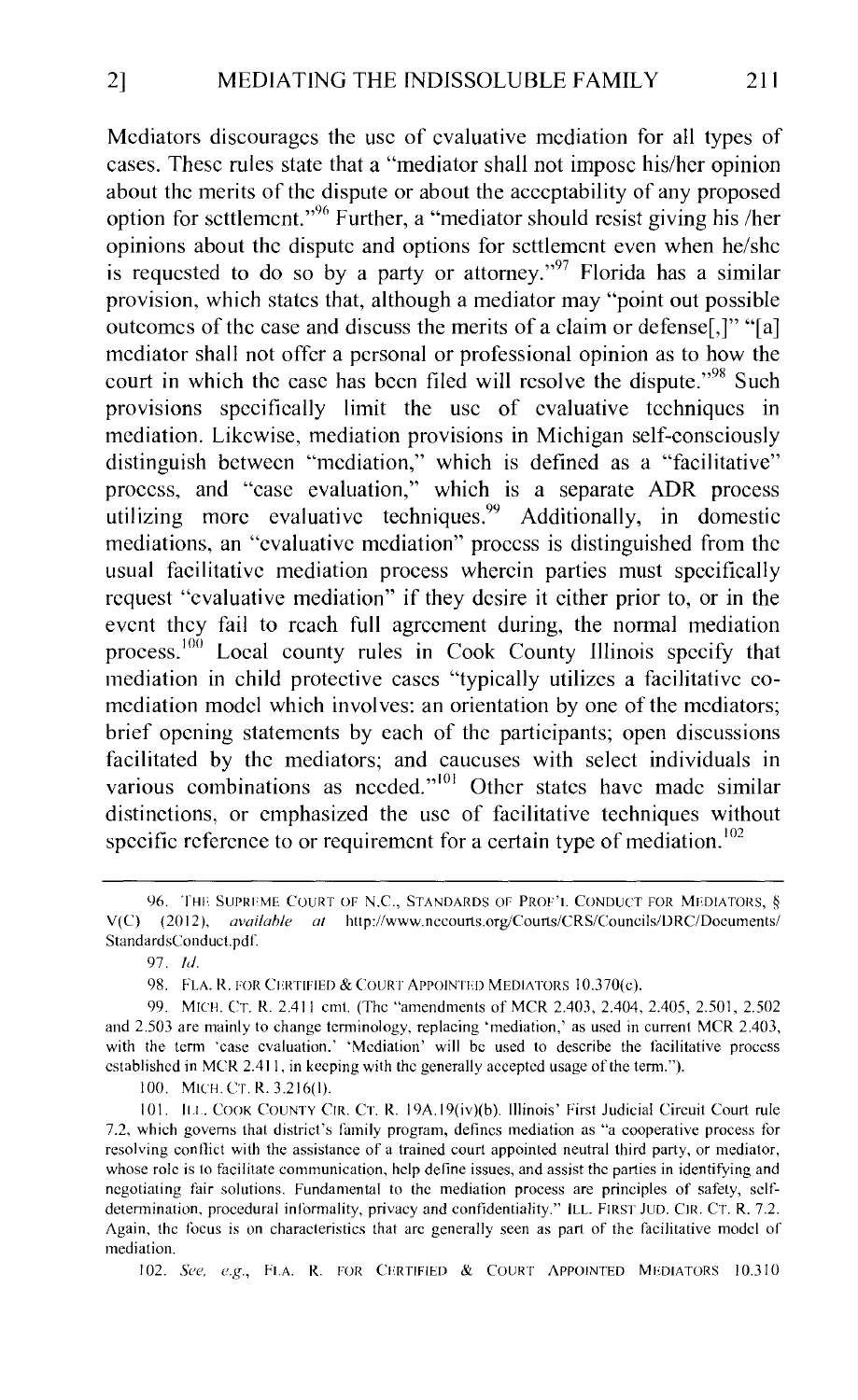Mediators discourages the usc of evaluative mediation for all types of cases. These rules state that a "mediator shall not impose his/her opinion about the merits of the dispute or about the acceptability of any proposed option for scttlemcnt."96 Further, a "mediator should resist giving his /her opinions about the dispute and options for settlement even when he/she is requested to do so by a party or attorney."<sup>97</sup> Florida has a similar provision, which states that, although a mediator may "point out possible outcomes of the case and discuss the merits of a claim or defense[,]" "[a] mediator shall not offer a personal or professional opinion as to how the court in which the case has been filed will resolve the dispute."<sup>98</sup> Such provisions specifically limit the use of evaluative techniques in mediation. Likewise, mediation provisions in Michigan self-consciously distinguish between "mediation," which is defined as a "facilitative" process, and "case evaluation," which is a separate ADR process utilizing more evaluative techniques.<sup>99</sup> Additionally, in domestic mediations, an "evaluative mediation" process is distinguished from the usual facilitative mediation process wherein parties must specifically request "evaluative mediation" if they desire it either prior to, or in the event they fail to reach full agreement during, the normal mediation process.<sup>100</sup> Local county rules in Cook County Illinois specify that mediation in child protective cases "typically utilizes a facilitative comediation model which involves: an orientation by one of the mediators; brief opening statements by each of the participants; open discussions facilitated by the mediators; and caucuses with select individuals in various combinations as needed."<sup>101</sup> Other states have made similar distinctions, or emphasized the usc of facilitative techniques without specific reference to or requirement for a certain type of mediation.<sup>102</sup>

I 00. MICH. Cr. R. 3.216(1).

101. ILL. COOK COUNTY CIR. CT. R. 19A.19(iv)(b). Illinois' First Judicial Circuit Court rule 7.2, which governs that district's family program, defines mediation as "a cooperative process for resolving conflict with the assistance of a trained court appointed neutral third party, or mediator, whose role is to facilitate communication, help define issues, and assist the parties in identifying and negotiating fair solutions. Fundamental to the mediation process are principles of safety, sclfdetermination, procedural informality, privacy and confidentiality." ILL. FIRST JUD. CIR. CT. R. 7.2. Again, the focus is on characteristics that arc generally seen as part of the facilitative model of mediation.

102. *See, e.g.,* FLA. R. FOR CERTIFIED & COURT APPOINTED MEDIATORS 10.310

<sup>96.</sup> THE SUPRI'ME COURT OF N.C., STANDARDS OF PROF'I. CONDUCT FOR MEDIATORS, *§*  V(C) (2012), *availahle at* http://www.nccourts.org/Courts/CRS/Councils/DRC/Documents/ StandardsConduct.pdf.

<sup>97.</sup> *!d.* 

<sup>98.</sup> FLA. R. FOR CERTIFIED & COURT APPOINTED MEDIATORS 10.370(c).

<sup>99.</sup> MICH. CT. R. 2.411 cmt. (The "amendments of MCR 2.403, 2.404, 2.405, 2.501, 2.502 and 2.503 are mainly to change terminology, replacing 'mediation,' as used in current MCR 2.403, with the term 'case evaluation.' 'Mediation' will be used to describe the facilitative process established in MCR 2.411, in keeping with the generally accepted usage of the term.").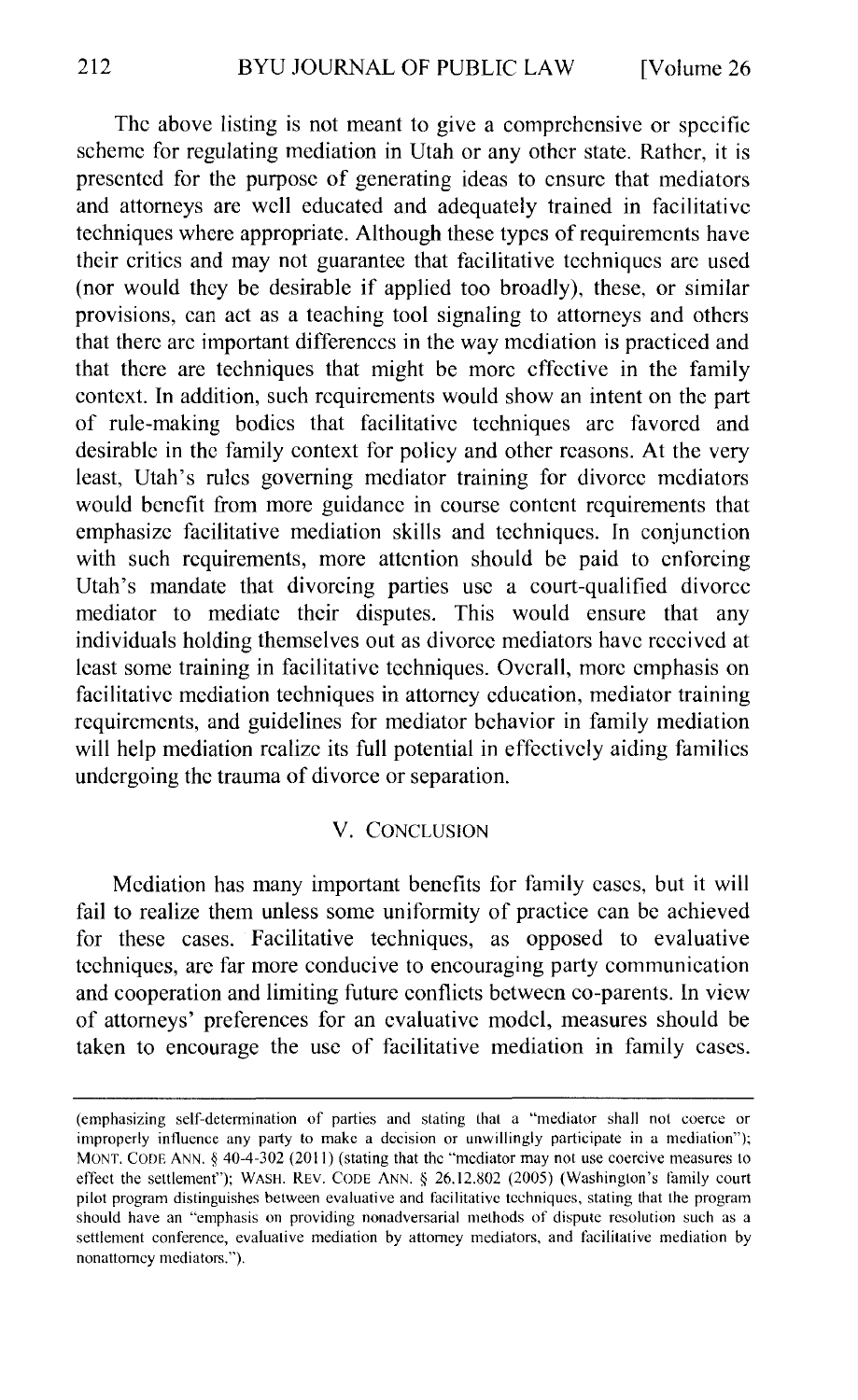The above listing is not meant to give a comprehensive or specific scheme for regulating mediation in Utah or any other state. Rather, it is presented for the purpose of generating ideas to ensure that mediators and attorneys are well educated and adequately trained in facilitative techniques where appropriate. Although these types of requirements have their critics and may not guarantee that facilitative techniques are used (nor would they be desirable if applied too broadly), these, or similar provisions, can act as a teaching tool signaling to attorneys and others that there arc important differences in the way mediation is practiced and that there are techniques that might be more effective in the family context. In addition, such requirements would show an intent on the part of rule-making bodies that facilitative techniques arc favored and desirable in the family context for policy and other reasons. At the very least, Utah's rules governing mediator training for divorce mediators would benefit from more guidance in course content requirements that emphasize facilitative mediation skills and techniques. In conjunction with such requirements, more attention should be paid to enforcing Utah's mandate that divorcing parties usc a court-qualified divorce mediator to mediate their disputes. This would ensure that any individuals holding themselves out as divorce mediators have received at least some training in facilitative techniques. Overall, more emphasis on facilitative mediation techniques in attorney education, mediator training requirements, and guidelines for mediator behavior in family mediation will help mediation realize its full potential in effectively aiding families undergoing the trauma of divorce or separation.

#### V. CONCLUSION

Mediation has many important benefits for family cases, but it will fail to realize them unless some uniformity of practice can be achieved for these cases. Facilitative techniques, as opposed to evaluative techniques, are far more conducive to encouraging party communication and cooperation and limiting future conflicts between co-parents. In view of attorneys' preferences for an evaluative model, measures should be taken to encourage the use of facilitative mediation in family cases.

<sup>(</sup>emphasizing self-determination of parties and stating that a "mediator shall not coerce or improperly influence any party to make a decision or unwillingly participate in a mediation''); MONT. CODE ANN.  $\S$  40-4-302 (2011) (stating that the "mediator may not use coercive measures to effect the settlement"); WASH. REV. CODE ANN. § 26.12.802 (2005) (Washington's family court pilot program distinguishes between evaluative and facilitative techniques, stating that the program should have an "emphasis on providing nonadversarial methods of dispute resolution such as a settlement conference, evaluative mediation by attorney mediators, and facilitative mediation by nonattomcy mediators.").